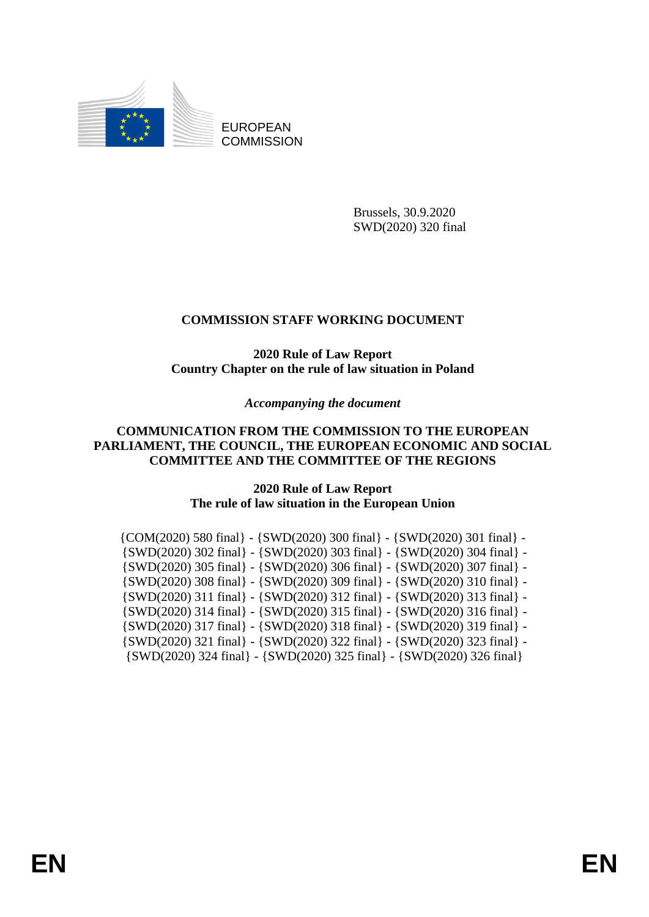

EUROPEAN **COMMISSION** 

> Brussels, 30.9.2020 SWD(2020) 320 final

# **COMMISSION STAFF WORKING DOCUMENT**

## **2020 Rule of Law Report Country Chapter on the rule of law situation in Poland**

*Accompanying the document*

## **COMMUNICATION FROM THE COMMISSION TO THE EUROPEAN PARLIAMENT, THE COUNCIL, THE EUROPEAN ECONOMIC AND SOCIAL COMMITTEE AND THE COMMITTEE OF THE REGIONS**

## **2020 Rule of Law Report The rule of law situation in the European Union**

| $\{COM(2020) 580 \text{ final}\} - \{SWD(2020) 300 \text{ final}\} - \{SWD(2020) 301 \text{ final}\} - \{SWD(2020) 301 \text{ final}\}$ |
|-----------------------------------------------------------------------------------------------------------------------------------------|
| $\{SWD(2020)$ 302 final} - $\{SWD(2020)$ 303 final} - $\{SWD(2020)$ 304 final} -                                                        |
| $\{SWD(2020)$ 305 final} - $\{SWD(2020)$ 306 final} - $\{SWD(2020)$ 307 final} -                                                        |
| $\{SWD(2020)$ 308 final} - $\{SWD(2020)$ 309 final} - $\{SWD(2020)$ 310 final} -                                                        |
| $\{SWD(2020)$ 311 final} - $\{SWD(2020)$ 312 final} - $\{SWD(2020)$ 313 final} -                                                        |
| $\{SWD(2020)$ 314 final} - $\{SWD(2020)$ 315 final} - $\{SWD(2020)$ 316 final} -                                                        |
| $\{SWD(2020)$ 317 final} - $\{SWD(2020)$ 318 final} - $\{SWD(2020)$ 319 final} -                                                        |
| $\{SWD(2020)$ 321 final} - $\{SWD(2020)$ 322 final} - $\{SWD(2020)$ 323 final} -                                                        |
| $\{SWD(2020)$ 324 final} - $\{SWD(2020)$ 325 final} - $\{SWD(2020)$ 326 final}                                                          |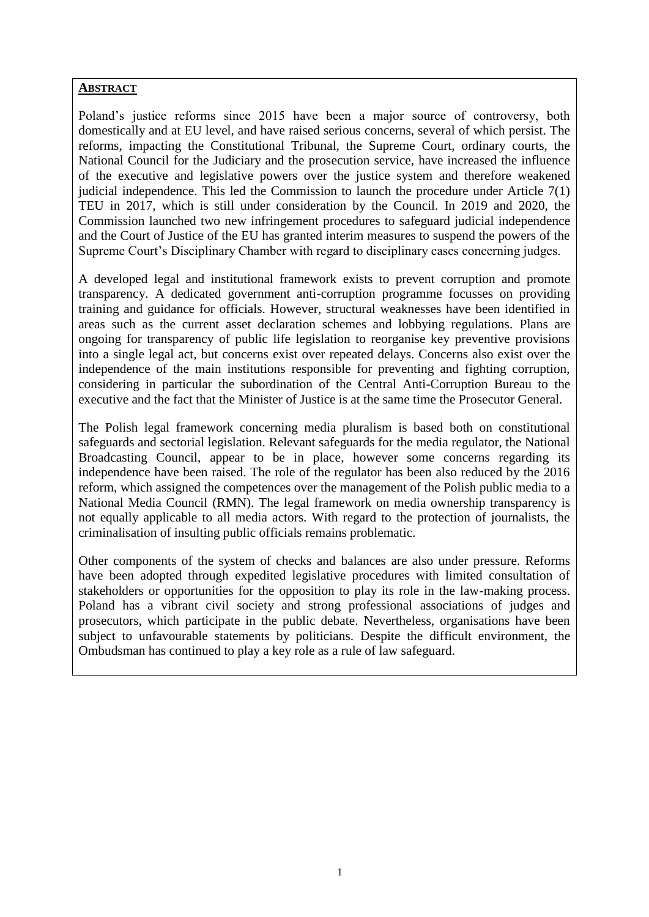#### **ABSTRACT**

Poland's justice reforms since 2015 have been a major source of controversy, both domestically and at EU level, and have raised serious concerns, several of which persist. The reforms, impacting the Constitutional Tribunal, the Supreme Court, ordinary courts, the National Council for the Judiciary and the prosecution service, have increased the influence of the executive and legislative powers over the justice system and therefore weakened judicial independence. This led the Commission to launch the procedure under Article 7(1) TEU in 2017, which is still under consideration by the Council. In 2019 and 2020, the Commission launched two new infringement procedures to safeguard judicial independence and the Court of Justice of the EU has granted interim measures to suspend the powers of the Supreme Court's Disciplinary Chamber with regard to disciplinary cases concerning judges.

A developed legal and institutional framework exists to prevent corruption and promote transparency. A dedicated government anti-corruption programme focusses on providing training and guidance for officials. However, structural weaknesses have been identified in areas such as the current asset declaration schemes and lobbying regulations. Plans are ongoing for transparency of public life legislation to reorganise key preventive provisions into a single legal act, but concerns exist over repeated delays. Concerns also exist over the independence of the main institutions responsible for preventing and fighting corruption, considering in particular the subordination of the Central Anti-Corruption Bureau to the executive and the fact that the Minister of Justice is at the same time the Prosecutor General.

The Polish legal framework concerning media pluralism is based both on constitutional safeguards and sectorial legislation. Relevant safeguards for the media regulator, the National Broadcasting Council, appear to be in place, however some concerns regarding its independence have been raised. The role of the regulator has been also reduced by the 2016 reform, which assigned the competences over the management of the Polish public media to a National Media Council (RMN). The legal framework on media ownership transparency is not equally applicable to all media actors. With regard to the protection of journalists, the criminalisation of insulting public officials remains problematic.

Other components of the system of checks and balances are also under pressure. Reforms have been adopted through expedited legislative procedures with limited consultation of stakeholders or opportunities for the opposition to play its role in the law-making process. Poland has a vibrant civil society and strong professional associations of judges and prosecutors, which participate in the public debate. Nevertheless, organisations have been subject to unfavourable statements by politicians. Despite the difficult environment, the Ombudsman has continued to play a key role as a rule of law safeguard.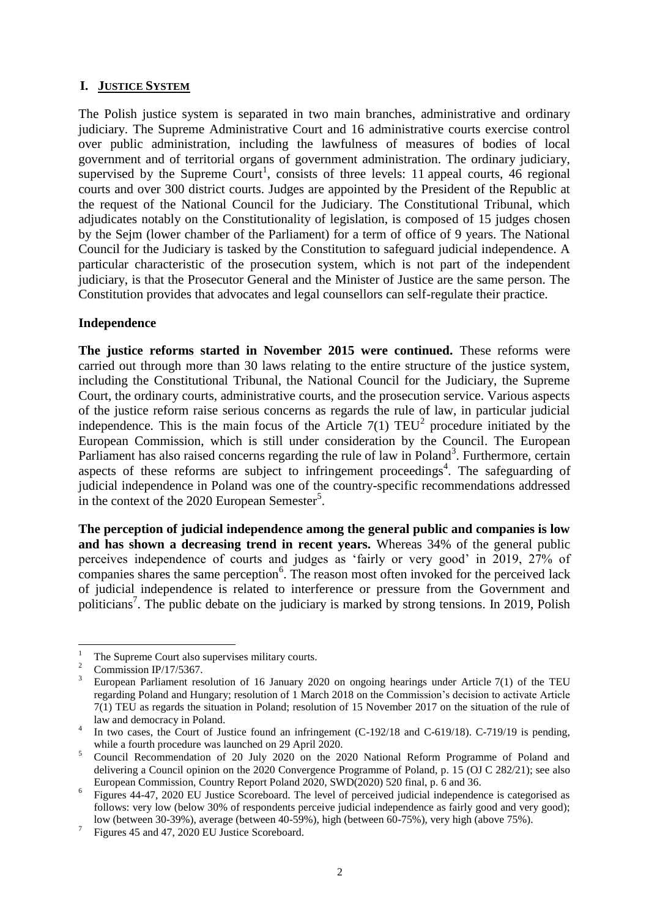## **I. JUSTICE SYSTEM**

The Polish justice system is separated in two main branches, administrative and ordinary judiciary. The Supreme Administrative Court and 16 administrative courts exercise control over public administration, including the lawfulness of measures of bodies of local government and of territorial organs of government administration. The ordinary judiciary, supervised by the Supreme Court<sup>1</sup>, consists of three levels: 11 appeal courts, 46 regional courts and over 300 district courts. Judges are appointed by the President of the Republic at the request of the National Council for the Judiciary. The Constitutional Tribunal, which adjudicates notably on the Constitutionality of legislation, is composed of 15 judges chosen by the Sejm (lower chamber of the Parliament) for a term of office of 9 years. The National Council for the Judiciary is tasked by the Constitution to safeguard judicial independence. A particular characteristic of the prosecution system, which is not part of the independent judiciary, is that the Prosecutor General and the Minister of Justice are the same person. The Constitution provides that advocates and legal counsellors can self-regulate their practice.

#### **Independence**

**The justice reforms started in November 2015 were continued.** These reforms were carried out through more than 30 laws relating to the entire structure of the justice system, including the Constitutional Tribunal, the National Council for the Judiciary, the Supreme Court, the ordinary courts, administrative courts, and the prosecution service. Various aspects of the justice reform raise serious concerns as regards the rule of law, in particular judicial independence. This is the main focus of the Article  $7(1)$  TEU<sup>2</sup> procedure initiated by the European Commission, which is still under consideration by the Council. The European Parliament has also raised concerns regarding the rule of law in Poland<sup>3</sup>. Furthermore, certain aspects of these reforms are subject to infringement proceedings<sup>4</sup>. The safeguarding of judicial independence in Poland was one of the country-specific recommendations addressed in the context of the 2020 European Semester<sup>5</sup>.

**The perception of judicial independence among the general public and companies is low and has shown a decreasing trend in recent years.** Whereas 34% of the general public perceives independence of courts and judges as 'fairly or very good' in 2019, 27% of companies shares the same perception $6$ . The reason most often invoked for the perceived lack of judicial independence is related to interference or pressure from the Government and politicians<sup>7</sup>. The public debate on the judiciary is marked by strong tensions. In 2019, Polish

 $\mathbf{1}$ <sup>1</sup> The Supreme Court also supervises military courts.<br><sup>2</sup> Commission ID/17/5267

 $\frac{2}{3}$  Commission IP/17/5367.

<sup>3</sup> European Parliament resolution of 16 January 2020 on ongoing hearings under Article 7(1) of the TEU regarding Poland and Hungary; resolution of 1 March 2018 on the Commission's decision to activate Article 7(1) TEU as regards the situation in Poland; resolution of 15 November 2017 on the situation of the rule of law and democracy in Poland.

<sup>4</sup> In two cases, the Court of Justice found an infringement (C-192/18 and C-619/18). C-719/19 is pending, while a fourth procedure was launched on 29 April 2020.

<sup>&</sup>lt;sup>5</sup> Council Recommendation of 20 July 2020 on the 2020 National Reform Programme of Poland and delivering a Council opinion on the 2020 Convergence Programme of Poland, p. 15 (OJ C 282/21); see also European Commission, Country Report Poland 2020, SWD(2020) 520 final, p. 6 and 36.

<sup>6</sup> Figures 44-47, 2020 EU Justice Scoreboard. The level of perceived judicial independence is categorised as follows: very low (below 30% of respondents perceive judicial independence as fairly good and very good); low (between 30-39%), average (between 40-59%), high (between 60-75%), very high (above 75%).

<sup>7</sup> Figures 45 and 47, 2020 EU Justice Scoreboard.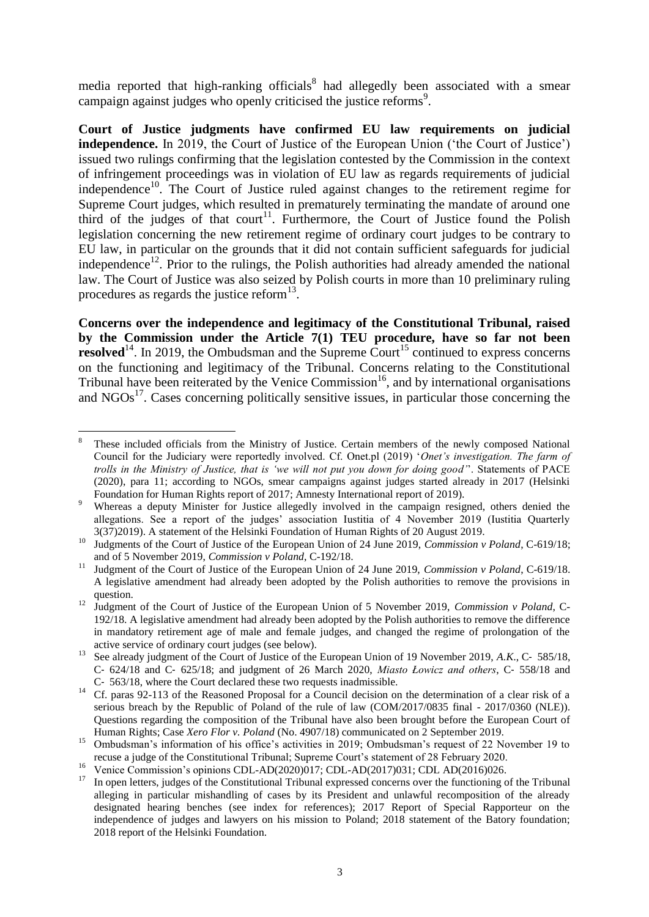media reported that high-ranking officials<sup>8</sup> had allegedly been associated with a smear campaign against judges who openly criticised the justice reforms<sup>9</sup>.

**Court of Justice judgments have confirmed EU law requirements on judicial independence.** In 2019, the Court of Justice of the European Union ('the Court of Justice') issued two rulings confirming that the legislation contested by the Commission in the context of infringement proceedings was in violation of EU law as regards requirements of judicial independence<sup>10</sup>. The Court of Justice ruled against changes to the retirement regime for Supreme Court judges, which resulted in prematurely terminating the mandate of around one third of the judges of that court<sup>11</sup>. Furthermore, the Court of Justice found the Polish legislation concerning the new retirement regime of ordinary court judges to be contrary to EU law, in particular on the grounds that it did not contain sufficient safeguards for judicial independence<sup>12</sup>. Prior to the rulings, the Polish authorities had already amended the national law. The Court of Justice was also seized by Polish courts in more than 10 preliminary ruling procedures as regards the justice reform $^{13}$ .

**Concerns over the independence and legitimacy of the Constitutional Tribunal, raised by the Commission under the Article 7(1) TEU procedure, have so far not been resolved**<sup>14</sup>. In 2019, the Ombudsman and the Supreme Court<sup>15</sup> continued to express concerns on the functioning and legitimacy of the Tribunal. Concerns relating to the Constitutional Tribunal have been reiterated by the Venice Commission<sup>16</sup>, and by international organisations and  $NGOs<sup>17</sup>$ . Cases concerning politically sensitive issues, in particular those concerning the

<sup>8</sup> These included officials from the Ministry of Justice. Certain members of the newly composed National Council for the Judiciary were reportedly involved. Cf. Onet.pl (2019) '*Onet's investigation. The farm of trolls in the Ministry of Justice, that is 'we will not put you down for doing good'*'. Statements of PACE (2020), para 11; according to NGOs, smear campaigns against judges started already in 2017 (Helsinki Foundation for Human Rights report of 2017; Amnesty International report of 2019).

Whereas a deputy Minister for Justice allegedly involved in the campaign resigned, others denied the allegations. See a report of the judges' association Iustitia of 4 November 2019 (Iustitia Quarterly 3(37)2019). A statement of the Helsinki Foundation of Human Rights of 20 August 2019.

<sup>&</sup>lt;sup>10</sup> Judgments of the Court of Justice of the European Union of 24 June 2019, *Commission v Poland*, C-619/18; and of 5 November 2019, *Commission v Poland*, C-192/18.

<sup>11</sup> Judgment of the Court of Justice of the European Union of 24 June 2019, *Commission v Poland*, C-619/18. A legislative amendment had already been adopted by the Polish authorities to remove the provisions in question.

<sup>&</sup>lt;sup>12</sup> Judgment of the Court of Justice of the European Union of 5 November 2019, *Commission v Poland*, C-192/18. A legislative amendment had already been adopted by the Polish authorities to remove the difference in mandatory retirement age of male and female judges, and changed the regime of prolongation of the active service of ordinary court judges (see below).

<sup>&</sup>lt;sup>13</sup> See already judgment of the Court of Justice of the European Union of 19 November 2019, *A.K.*, C- 585/18, C‑ 624/18 and C‑ 625/18; and judgment of 26 March 2020, *Miasto Łowicz and others*, C‑ 558/18 and C‑ 563/18, where the Court declared these two requests inadmissible.

<sup>&</sup>lt;sup>14</sup> Cf. paras 92-113 of the Reasoned Proposal for a Council decision on the determination of a clear risk of a serious breach by the Republic of Poland of the rule of law (COM/2017/0835 final - 2017/0360 (NLE)). Questions regarding the composition of the Tribunal have also been brought before the European Court of Human Rights; Case *Xero Flor v. Poland* (No. 4907/18) communicated on 2 September 2019.

<sup>&</sup>lt;sup>15</sup> Ombudsman's information of his office's activities in 2019; Ombudsman's request of 22 November 19 to recuse a judge of the Constitutional Tribunal; Supreme Court's statement of 28 February 2020.

<sup>&</sup>lt;sup>16</sup> Venice Commission's opinions CDL-AD(2020)017; CDL-AD(2017)031; CDL AD(2016)026.

<sup>&</sup>lt;sup>17</sup> In open letters, judges of the Constitutional Tribunal expressed concerns over the functioning of the Tribunal alleging in particular mishandling of cases by its President and unlawful recomposition of the already designated hearing benches (see index for references); 2017 Report of Special Rapporteur on the independence of judges and lawyers on his mission to Poland; 2018 statement of the Batory foundation; 2018 report of the Helsinki Foundation.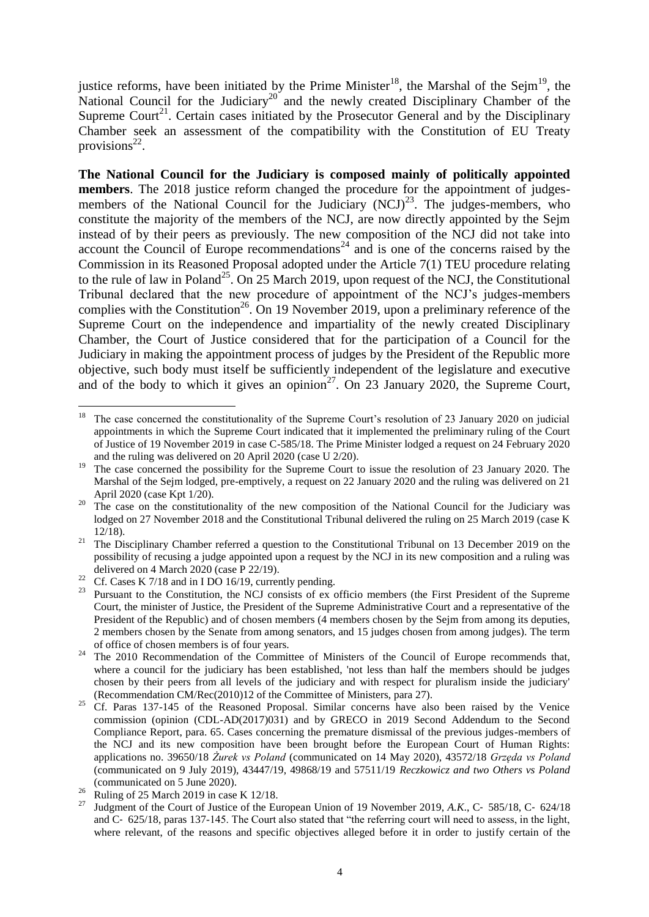justice reforms, have been initiated by the Prime Minister<sup>18</sup>, the Marshal of the Sejm<sup>19</sup>, the National Council for the Judiciary<sup>20</sup> and the newly created Disciplinary Chamber of the Supreme Court<sup>21</sup>. Certain cases initiated by the Prosecutor General and by the Disciplinary Chamber seek an assessment of the compatibility with the Constitution of EU Treaty provisions $^{22}$ .

**The National Council for the Judiciary is composed mainly of politically appointed members**. The 2018 justice reform changed the procedure for the appointment of judgesmembers of the National Council for the Judiciary  $(NCI)^{23}$ . The judges-members, who constitute the majority of the members of the NCJ, are now directly appointed by the Sejm instead of by their peers as previously. The new composition of the NCJ did not take into account the Council of Europe recommendations<sup>24</sup> and is one of the concerns raised by the Commission in its Reasoned Proposal adopted under the Article 7(1) TEU procedure relating to the rule of law in Poland<sup>25</sup>. On 25 March 2019, upon request of the NCJ, the Constitutional Tribunal declared that the new procedure of appointment of the NCJ's judges-members complies with the Constitution<sup>26</sup>. On 19 November 2019, upon a preliminary reference of the Supreme Court on the independence and impartiality of the newly created Disciplinary Chamber, the Court of Justice considered that for the participation of a Council for the Judiciary in making the appointment process of judges by the President of the Republic more objective, such body must itself be sufficiently independent of the legislature and executive and of the body to which it gives an opinion<sup>27</sup>. On 23 January 2020, the Supreme Court,

<sup>18</sup> The case concerned the constitutionality of the Supreme Court's resolution of 23 January 2020 on judicial appointments in which the Supreme Court indicated that it implemented the preliminary ruling of the Court of Justice of 19 November 2019 in case C-585/18. The Prime Minister lodged a request on 24 February 2020 and the ruling was delivered on 20 April 2020 (case U 2/20).

<sup>&</sup>lt;sup>19</sup> The case concerned the possibility for the Supreme Court to issue the resolution of 23 January 2020. The Marshal of the Sejm lodged, pre-emptively, a request on 22 January 2020 and the ruling was delivered on 21 April 2020 (case Kpt 1/20).

<sup>&</sup>lt;sup>20</sup> The case on the constitutionality of the new composition of the National Council for the Judiciary was lodged on 27 November 2018 and the Constitutional Tribunal delivered the ruling on 25 March 2019 (case K) 12/18).

<sup>&</sup>lt;sup>21</sup> The Disciplinary Chamber referred a question to the Constitutional Tribunal on 13 December 2019 on the possibility of recusing a judge appointed upon a request by the NCJ in its new composition and a ruling was delivered on 4 March 2020 (case P 22/19).

<sup>22</sup> Cf. Cases K  $7/18$  and in I DO 16/19, currently pending.

<sup>&</sup>lt;sup>23</sup> Pursuant to the Constitution, the NCJ consists of ex officio members (the First President of the Supreme Court, the minister of Justice, the President of the Supreme Administrative Court and a representative of the President of the Republic) and of chosen members (4 members chosen by the Sejm from among its deputies, 2 members chosen by the Senate from among senators, and 15 judges chosen from among judges). The term of office of chosen members is of four years.

 $24$  The 2010 Recommendation of the Committee of Ministers of the Council of Europe recommends that, where a council for the judiciary has been established, 'not less than half the members should be judges chosen by their peers from all levels of the judiciary and with respect for pluralism inside the judiciary' (Recommendation CM/Rec(2010)12 of the Committee of Ministers, para 27).

<sup>&</sup>lt;sup>25</sup> Cf. Paras 137-145 of the Reasoned Proposal. Similar concerns have also been raised by the Venice commission (opinion (CDL-AD(2017)031) and by GRECO in 2019 Second Addendum to the Second Compliance Report, para. 65. Cases concerning the premature dismissal of the previous judges-members of the NCJ and its new composition have been brought before the European Court of Human Rights: applications no. 39650/18 *Żurek vs Poland* (communicated on 14 May 2020), 43572/18 *Grzęda vs Poland* (communicated on 9 July 2019), 43447/19, 49868/19 and 57511/19 *Reczkowicz and two Others vs Poland* (communicated on 5 June 2020).

<sup>&</sup>lt;sup>26</sup> Ruling of 25 March 2019 in case K 12/18.

<sup>27</sup> Judgment of the Court of Justice of the European Union of 19 November 2019, *A.K*., C‑ 585/18, C‑ 624/18 and C‑ 625/18, paras 137-145. The Court also stated that "the referring court will need to assess, in the light, where relevant, of the reasons and specific objectives alleged before it in order to justify certain of the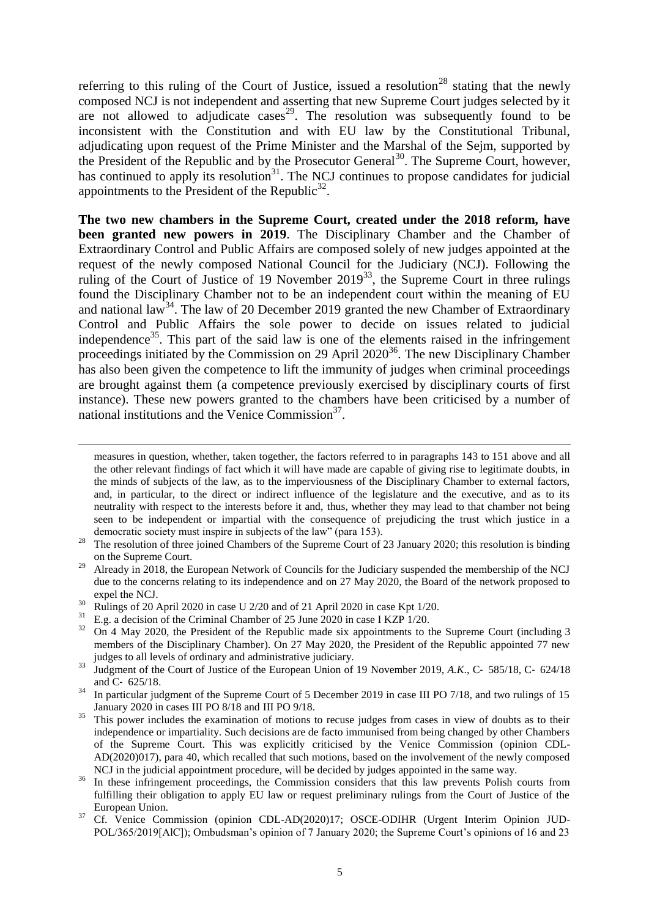referring to this ruling of the Court of Justice, issued a resolution<sup>28</sup> stating that the newly composed NCJ is not independent and asserting that new Supreme Court judges selected by it are not allowed to adjudicate cases<sup>29</sup>. The resolution was subsequently found to be inconsistent with the Constitution and with EU law by the Constitutional Tribunal, adjudicating upon request of the Prime Minister and the Marshal of the Sejm, supported by the President of the Republic and by the Prosecutor General<sup>30</sup>. The Supreme Court, however, has continued to apply its resolution<sup>31</sup>. The NCJ continues to propose candidates for judicial appointments to the President of the Republic<sup>32</sup>.

**The two new chambers in the Supreme Court, created under the 2018 reform, have been granted new powers in 2019**. The Disciplinary Chamber and the Chamber of Extraordinary Control and Public Affairs are composed solely of new judges appointed at the request of the newly composed National Council for the Judiciary (NCJ). Following the ruling of the Court of Justice of 19 November  $2019^{33}$ , the Supreme Court in three rulings found the Disciplinary Chamber not to be an independent court within the meaning of EU and national law<sup>34</sup>. The law of 20 December 2019 granted the new Chamber of Extraordinary Control and Public Affairs the sole power to decide on issues related to judicial independence<sup>35</sup>. This part of the said law is one of the elements raised in the infringement proceedings initiated by the Commission on 29 April  $2020^{36}$ . The new Disciplinary Chamber has also been given the competence to lift the immunity of judges when criminal proceedings are brought against them (a competence previously exercised by disciplinary courts of first instance). These new powers granted to the chambers have been criticised by a number of national institutions and the Venice Commission<sup>37</sup>.

- <sup>30</sup> Rulings of 20 April 2020 in case U 2/20 and of 21 April 2020 in case Kpt 1/20.
- <sup>31</sup> E.g. a decision of the Criminal Chamber of 25 June 2020 in case I KZP 1/20.

<u>.</u>

measures in question, whether, taken together, the factors referred to in paragraphs 143 to 151 above and all the other relevant findings of fact which it will have made are capable of giving rise to legitimate doubts, in the minds of subjects of the law, as to the imperviousness of the Disciplinary Chamber to external factors, and, in particular, to the direct or indirect influence of the legislature and the executive, and as to its neutrality with respect to the interests before it and, thus, whether they may lead to that chamber not being seen to be independent or impartial with the consequence of prejudicing the trust which justice in a democratic society must inspire in subjects of the law" (para 153).

<sup>&</sup>lt;sup>28</sup> The resolution of three joined Chambers of the Supreme Court of 23 January 2020; this resolution is binding on the Supreme Court.

<sup>&</sup>lt;sup>29</sup> Already in 2018, the European Network of Councils for the Judiciary suspended the membership of the NCJ due to the concerns relating to its independence and on 27 May 2020, the Board of the network proposed to expel the NCJ.

<sup>32</sup> On 4 May 2020, the President of the Republic made six appointments to the Supreme Court (including 3 members of the Disciplinary Chamber). On 27 May 2020, the President of the Republic appointed 77 new judges to all levels of ordinary and administrative judiciary.

<sup>&</sup>lt;sup>33</sup> Judgment of the Court of Justice of the European Union of 19 November 2019, A.K., C- 585/18, C- 624/18 and C‑ 625/18.

<sup>&</sup>lt;sup>34</sup> In particular judgment of the Supreme Court of 5 December 2019 in case III PO 7/18, and two rulings of 15 January 2020 in cases III PO 8/18 and III PO 9/18.

<sup>&</sup>lt;sup>35</sup> This power includes the examination of motions to recuse judges from cases in view of doubts as to their independence or impartiality. Such decisions are de facto immunised from being changed by other Chambers of the Supreme Court. This was explicitly criticised by the Venice Commission (opinion CDL-AD(2020)017), para 40, which recalled that such motions, based on the involvement of the newly composed NCJ in the judicial appointment procedure, will be decided by judges appointed in the same way.

<sup>&</sup>lt;sup>36</sup> In these infringement proceedings, the Commission considers that this law prevents Polish courts from fulfilling their obligation to apply EU law or request preliminary rulings from the Court of Justice of the European Union.

<sup>&</sup>lt;sup>37</sup> Cf. Venice Commission (opinion CDL-AD(2020)17; OSCE-ODIHR (Urgent Interim Opinion JUD-POL/365/2019[AlC]); Ombudsman's opinion of 7 January 2020; the Supreme Court's opinions of 16 and 23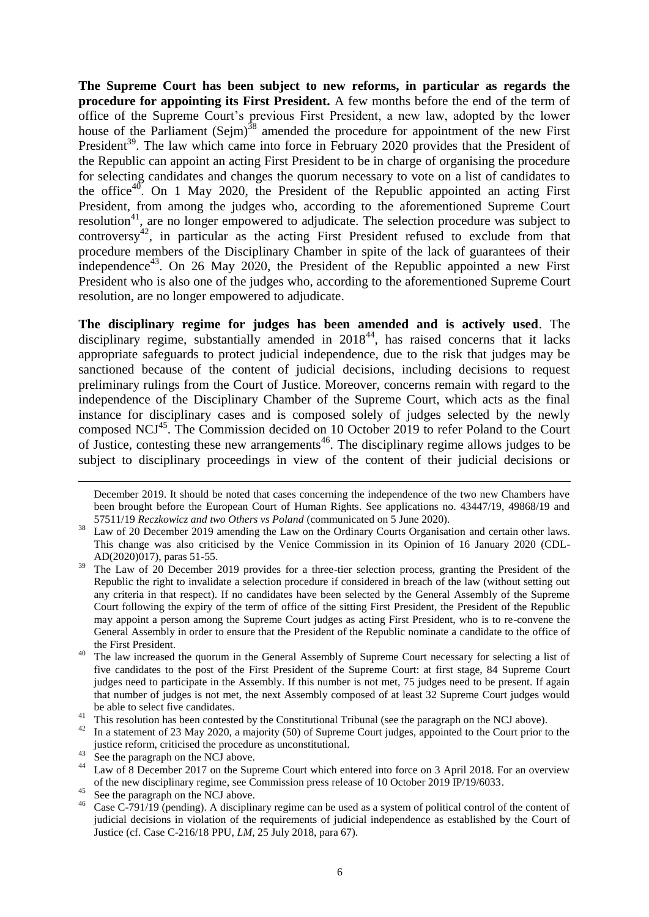**The Supreme Court has been subject to new reforms, in particular as regards the procedure for appointing its First President.** A few months before the end of the term of office of the Supreme Court's previous First President, a new law, adopted by the lower house of the Parliament (Sejm)<sup>38</sup> amended the procedure for appointment of the new First President<sup>39</sup>. The law which came into force in February 2020 provides that the President of the Republic can appoint an acting First President to be in charge of organising the procedure for selecting candidates and changes the quorum necessary to vote on a list of candidates to the office<sup>40</sup>. On 1 May 2020, the President of the Republic appointed an acting First President, from among the judges who, according to the aforementioned Supreme Court resolution<sup>41</sup>, are no longer empowered to adjudicate. The selection procedure was subject to  $controversy<sup>42</sup>$ , in particular as the acting First President refused to exclude from that procedure members of the Disciplinary Chamber in spite of the lack of guarantees of their independence<sup>43</sup>. On 26 May 2020, the President of the Republic appointed a new First President who is also one of the judges who, according to the aforementioned Supreme Court resolution, are no longer empowered to adjudicate.

**The disciplinary regime for judges has been amended and is actively used**. The disciplinary regime, substantially amended in  $2018^{44}$ , has raised concerns that it lacks appropriate safeguards to protect judicial independence, due to the risk that judges may be sanctioned because of the content of judicial decisions, including decisions to request preliminary rulings from the Court of Justice. Moreover, concerns remain with regard to the independence of the Disciplinary Chamber of the Supreme Court, which acts as the final instance for disciplinary cases and is composed solely of judges selected by the newly composed NCJ<sup>45</sup>. The Commission decided on 10 October 2019 to refer Poland to the Court of Justice, contesting these new arrangements<sup>46</sup>. The disciplinary regime allows judges to be subject to disciplinary proceedings in view of the content of their judicial decisions or

December 2019. It should be noted that cases concerning the independence of the two new Chambers have been brought before the European Court of Human Rights. See applications no. 43447/19, 49868/19 and 57511/19 *Reczkowicz and two Others vs Poland* (communicated on 5 June 2020).

<sup>&</sup>lt;sup>38</sup> Law of 20 December 2019 amending the Law on the Ordinary Courts Organisation and certain other laws. This change was also criticised by the Venice Commission in its Opinion of 16 January 2020 (CDL-AD(2020)017), paras 51-55.

<sup>&</sup>lt;sup>39</sup> The Law of 20 December 2019 provides for a three-tier selection process, granting the President of the Republic the right to invalidate a selection procedure if considered in breach of the law (without setting out any criteria in that respect). If no candidates have been selected by the General Assembly of the Supreme Court following the expiry of the term of office of the sitting First President, the President of the Republic may appoint a person among the Supreme Court judges as acting First President, who is to re-convene the General Assembly in order to ensure that the President of the Republic nominate a candidate to the office of the First President.

<sup>&</sup>lt;sup>40</sup> The law increased the quorum in the General Assembly of Supreme Court necessary for selecting a list of five candidates to the post of the First President of the Supreme Court: at first stage, 84 Supreme Court judges need to participate in the Assembly. If this number is not met, 75 judges need to be present. If again that number of judges is not met, the next Assembly composed of at least 32 Supreme Court judges would be able to select five candidates.

<sup>&</sup>lt;sup>41</sup> This resolution has been contested by the Constitutional Tribunal (see the paragraph on the NCJ above).

<sup>&</sup>lt;sup>42</sup> In a statement of 23 May 2020, a majority (50) of Supreme Court judges, appointed to the Court prior to the justice reform, criticised the procedure as unconstitutional.

<sup>&</sup>lt;sup>43</sup> See the paragraph on the NCJ above.

<sup>&</sup>lt;sup>44</sup> Law of 8 December 2017 on the Supreme Court which entered into force on 3 April 2018. For an overview of the new disciplinary regime, see Commission press release of 10 October 2019 IP/19/6033.

<sup>&</sup>lt;sup>45</sup> See the paragraph on the NCJ above.<br><sup>46</sup> Case C 791/19 (panding). A disciplin

Case C-791/19 (pending). A disciplinary regime can be used as a system of political control of the content of judicial decisions in violation of the requirements of judicial independence as established by the Court of Justice (cf. Case C-216/18 PPU, *LM*, 25 July 2018, para 67).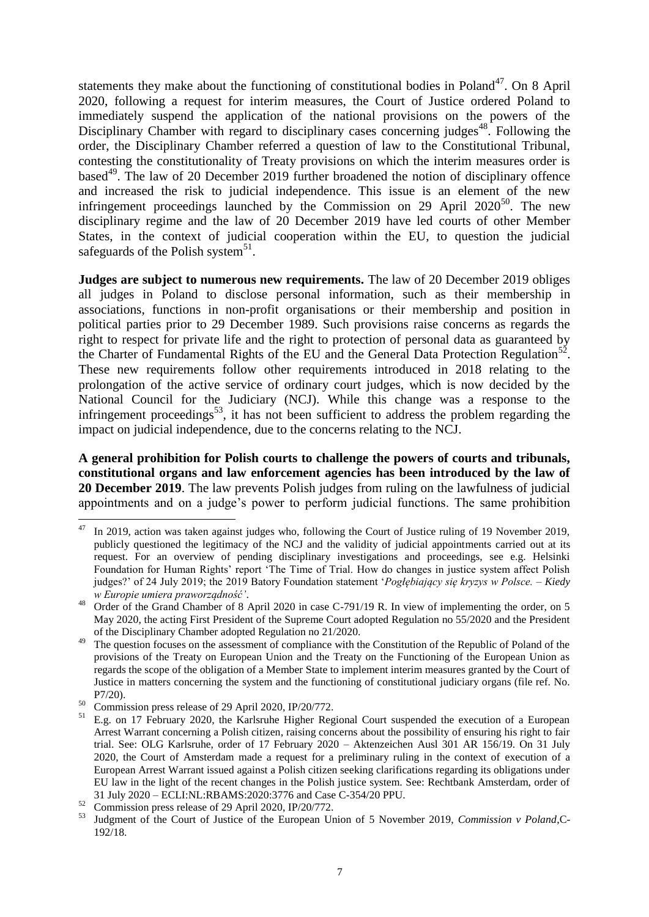statements they make about the functioning of constitutional bodies in Poland<sup>47</sup>. On 8 April 2020, following a request for interim measures, the Court of Justice ordered Poland to immediately suspend the application of the national provisions on the powers of the Disciplinary Chamber with regard to disciplinary cases concerning judges<sup>48</sup>. Following the order, the Disciplinary Chamber referred a question of law to the Constitutional Tribunal, contesting the constitutionality of Treaty provisions on which the interim measures order is based<sup>49</sup>. The law of 20 December 2019 further broadened the notion of disciplinary offence and increased the risk to judicial independence. This issue is an element of the new infringement proceedings launched by the Commission on 29 April  $2020^{50}$ . The new disciplinary regime and the law of 20 December 2019 have led courts of other Member States, in the context of judicial cooperation within the EU, to question the judicial safeguards of the Polish system<sup>51</sup>.

**Judges are subject to numerous new requirements.** The law of 20 December 2019 obliges all judges in Poland to disclose personal information, such as their membership in associations, functions in non-profit organisations or their membership and position in political parties prior to 29 December 1989. Such provisions raise concerns as regards the right to respect for private life and the right to protection of personal data as guaranteed by the Charter of Fundamental Rights of the EU and the General Data Protection Regulation<sup>52</sup>. These new requirements follow other requirements introduced in 2018 relating to the prolongation of the active service of ordinary court judges, which is now decided by the National Council for the Judiciary (NCJ). While this change was a response to the infringement proceedings<sup>53</sup>, it has not been sufficient to address the problem regarding the impact on judicial independence, due to the concerns relating to the NCJ.

**A general prohibition for Polish courts to challenge the powers of courts and tribunals, constitutional organs and law enforcement agencies has been introduced by the law of 20 December 2019**. The law prevents Polish judges from ruling on the lawfulness of judicial appointments and on a judge's power to perform judicial functions. The same prohibition

<sup>1</sup> In 2019, action was taken against judges who, following the Court of Justice ruling of 19 November 2019, publicly questioned the legitimacy of the NCJ and the validity of judicial appointments carried out at its request. For an overview of pending disciplinary investigations and proceedings, see e.g. Helsinki Foundation for Human Rights' report 'The Time of Trial. How do changes in justice system affect Polish judges?' of 24 July 2019; the 2019 Batory Foundation statement '*Pogłębiający się kryzys w Polsce. – Kiedy w Europie umiera praworządność'*.

<sup>&</sup>lt;sup>48</sup> Order of the Grand Chamber of 8 April 2020 in case C-791/19 R. In view of implementing the order, on 5 May 2020, the acting First President of the Supreme Court adopted Regulation no 55/2020 and the President of the Disciplinary Chamber adopted Regulation no 21/2020.

<sup>&</sup>lt;sup>49</sup> The question focuses on the assessment of compliance with the Constitution of the Republic of Poland of the provisions of the Treaty on European Union and the Treaty on the Functioning of the European Union as regards the scope of the obligation of a Member State to implement interim measures granted by the Court of Justice in matters concerning the system and the functioning of constitutional judiciary organs (file ref. No. P7/20).

<sup>&</sup>lt;sup>50</sup> Commission press release of 29 April 2020, IP/20/772.

<sup>51</sup> E.g. on 17 February 2020, the Karlsruhe Higher Regional Court suspended the execution of a European Arrest Warrant concerning a Polish citizen, raising concerns about the possibility of ensuring his right to fair trial. See: OLG Karlsruhe, order of 17 February 2020 – Aktenzeichen Ausl 301 AR 156/19. On 31 July 2020, the Court of Amsterdam made a request for a preliminary ruling in the context of execution of a European Arrest Warrant issued against a Polish citizen seeking clarifications regarding its obligations under EU law in the light of the recent changes in the Polish justice system. See: Rechtbank Amsterdam, order of 31 July 2020 – ECLI:NL:RBAMS:2020:3776 and Case C-354/20 PPU.

 $52$  Commission press release of 29 April 2020, IP/20/772.

<sup>53</sup> Judgment of the Court of Justice of the European Union of 5 November 2019, *Commission v Poland*,C-192/18.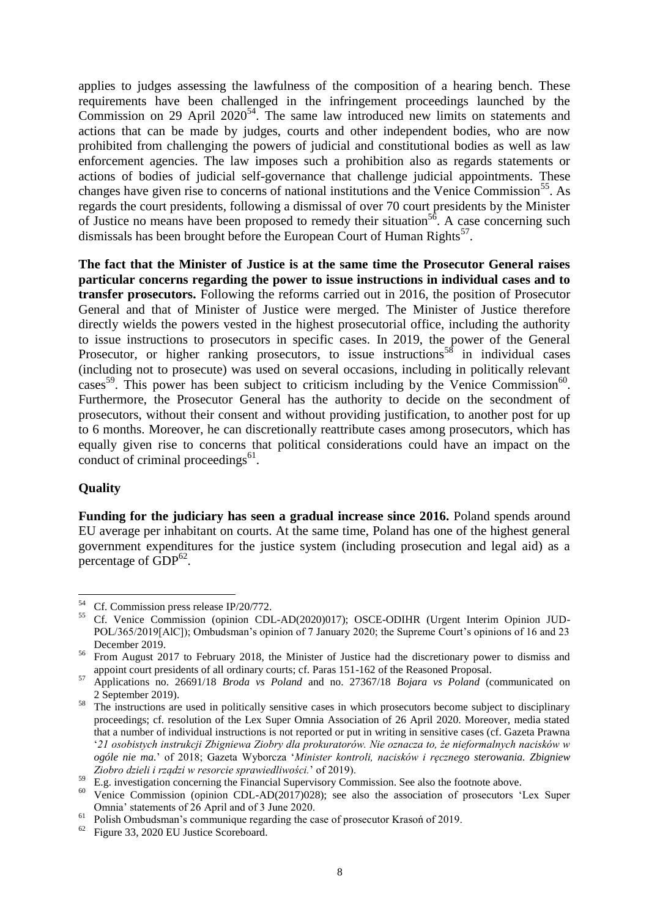applies to judges assessing the lawfulness of the composition of a hearing bench. These requirements have been challenged in the infringement proceedings launched by the Commission on 29 April  $2020^{54}$ . The same law introduced new limits on statements and actions that can be made by judges, courts and other independent bodies, who are now prohibited from challenging the powers of judicial and constitutional bodies as well as law enforcement agencies. The law imposes such a prohibition also as regards statements or actions of bodies of judicial self-governance that challenge judicial appointments. These changes have given rise to concerns of national institutions and the Venice Commission<sup>55</sup>. As regards the court presidents, following a dismissal of over 70 court presidents by the Minister of Justice no means have been proposed to remedy their situation<sup>56</sup>. A case concerning such dismissals has been brought before the European Court of Human Rights<sup>57</sup>.

**The fact that the Minister of Justice is at the same time the Prosecutor General raises particular concerns regarding the power to issue instructions in individual cases and to transfer prosecutors.** Following the reforms carried out in 2016, the position of Prosecutor General and that of Minister of Justice were merged. The Minister of Justice therefore directly wields the powers vested in the highest prosecutorial office, including the authority to issue instructions to prosecutors in specific cases. In 2019, the power of the General Prosecutor, or higher ranking prosecutors, to issue instructions<sup>58</sup> in individual cases (including not to prosecute) was used on several occasions, including in politically relevant cases<sup>59</sup>. This power has been subject to criticism including by the Venice Commission<sup>60</sup>. Furthermore, the Prosecutor General has the authority to decide on the secondment of prosecutors, without their consent and without providing justification, to another post for up to 6 months. Moreover, he can discretionally reattribute cases among prosecutors, which has equally given rise to concerns that political considerations could have an impact on the conduct of criminal proceedings $<sup>61</sup>$ .</sup>

## **Quality**

**Funding for the judiciary has seen a gradual increase since 2016.** Poland spends around EU average per inhabitant on courts. At the same time, Poland has one of the highest general government expenditures for the justice system (including prosecution and legal aid) as a percentage of  $GDP^{62}$ .

<sup>54</sup> Cf. Commission press release IP/20/772.

<sup>55</sup> Cf. Venice Commission (opinion CDL-AD(2020)017); OSCE-ODIHR (Urgent Interim Opinion JUD-POL/365/2019[AlC]); Ombudsman's opinion of 7 January 2020; the Supreme Court's opinions of 16 and 23 December 2019.

<sup>&</sup>lt;sup>56</sup> From August 2017 to February 2018, the Minister of Justice had the discretionary power to dismiss and appoint court presidents of all ordinary courts; cf. Paras 151-162 of the Reasoned Proposal.

<sup>57</sup> Applications no. 26691/18 *Broda vs Poland* and no. 27367/18 *Bojara vs Poland* (communicated on 2 September 2019).

<sup>&</sup>lt;sup>58</sup> The instructions are used in politically sensitive cases in which prosecutors become subject to disciplinary proceedings; cf. resolution of the Lex Super Omnia Association of 26 April 2020. Moreover, media stated that a number of individual instructions is not reported or put in writing in sensitive cases (cf. Gazeta Prawna '*21 osobistych instrukcji Zbigniewa Ziobry dla prokuratorów. Nie oznacza to, że nieformalnych nacisków w ogóle nie ma.*' of 2018; Gazeta Wyborcza '*Minister kontroli, nacisków i ręcznego sterowania. Zbigniew Ziobro dzieli i rządzi w resorcie sprawiedliwości.*' of 2019).

<sup>&</sup>lt;sup>59</sup> E.g. investigation concerning the Financial Supervisory Commission. See also the footnote above.

<sup>&</sup>lt;sup>60</sup> Venice Commission (opinion CDL-AD(2017)028); see also the association of prosecutors 'Lex Super Omnia' statements of 26 April and of 3 June 2020.

<sup>61</sup> Polish Ombudsman's communique regarding the case of prosecutor Krasoń of 2019.

<sup>62</sup> Figure 33, 2020 EU Justice Scoreboard.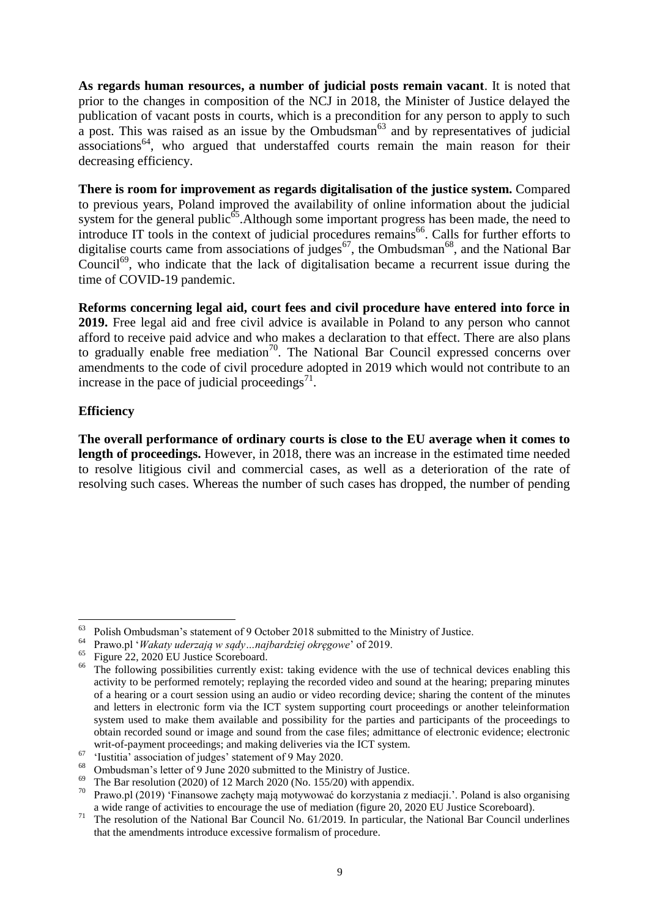**As regards human resources, a number of judicial posts remain vacant**. It is noted that prior to the changes in composition of the NCJ in 2018, the Minister of Justice delayed the publication of vacant posts in courts, which is a precondition for any person to apply to such a post. This was raised as an issue by the Ombudsman $^{63}$  and by representatives of judicial associations<sup>64</sup>, who argued that understaffed courts remain the main reason for their decreasing efficiency.

**There is room for improvement as regards digitalisation of the justice system.** Compared to previous years, Poland improved the availability of online information about the judicial system for the general public<sup>65</sup>. Although some important progress has been made, the need to introduce IT tools in the context of judicial procedures remains<sup>66</sup>. Calls for further efforts to digitalise courts came from associations of judges<sup>67</sup>, the Ombudsman<sup>68</sup>, and the National Bar Council<sup>69</sup>, who indicate that the lack of digitalisation became a recurrent issue during the time of COVID-19 pandemic.

**Reforms concerning legal aid, court fees and civil procedure have entered into force in 2019.** Free legal aid and free civil advice is available in Poland to any person who cannot afford to receive paid advice and who makes a declaration to that effect. There are also plans to gradually enable free mediation<sup>70</sup>. The National Bar Council expressed concerns over amendments to the code of civil procedure adopted in 2019 which would not contribute to an increase in the pace of judicial proceedings $^{71}$ .

## **Efficiency**

<u>.</u>

**The overall performance of ordinary courts is close to the EU average when it comes to length of proceedings.** However, in 2018, there was an increase in the estimated time needed to resolve litigious civil and commercial cases, as well as a deterioration of the rate of resolving such cases. Whereas the number of such cases has dropped, the number of pending

<sup>63</sup> Polish Ombudsman's statement of 9 October 2018 submitted to the Ministry of Justice.

<sup>64</sup> Prawo.pl '*Wakaty uderzają w sądy…najbardziej okręgowe*' of 2019.

<sup>65</sup> Figure 22, 2020 EU Justice Scoreboard.

<sup>&</sup>lt;sup>66</sup> The following possibilities currently exist: taking evidence with the use of technical devices enabling this activity to be performed remotely; replaying the recorded video and sound at the hearing; preparing minutes of a hearing or a court session using an audio or video recording device; sharing the content of the minutes and letters in electronic form via the ICT system supporting court proceedings or another teleinformation system used to make them available and possibility for the parties and participants of the proceedings to obtain recorded sound or image and sound from the case files; admittance of electronic evidence; electronic writ-of-payment proceedings; and making deliveries via the ICT system.

 $^{67}$  'Iustitia' association of judges' statement of 9 May 2020.

<sup>&</sup>lt;sup>68</sup> Ombudsman's letter of 9 June 2020 submitted to the Ministry of Justice.

<sup>&</sup>lt;sup>69</sup> The Bar resolution (2020) of 12 March 2020 (No. 155/20) with appendix.<br><sup>70</sup> Prayo pl (2019) 'Einansowe zachety maja motywować do korzystania z n

<sup>70</sup> Prawo.pl (2019) 'Finansowe zachęty mają motywować do korzystania z mediacji.'. Poland is also organising a wide range of activities to encourage the use of mediation (figure 20, 2020 EU Justice Scoreboard).

<sup>&</sup>lt;sup>71</sup> The resolution of the National Bar Council No. 61/2019. In particular, the National Bar Council underlines that the amendments introduce excessive formalism of procedure.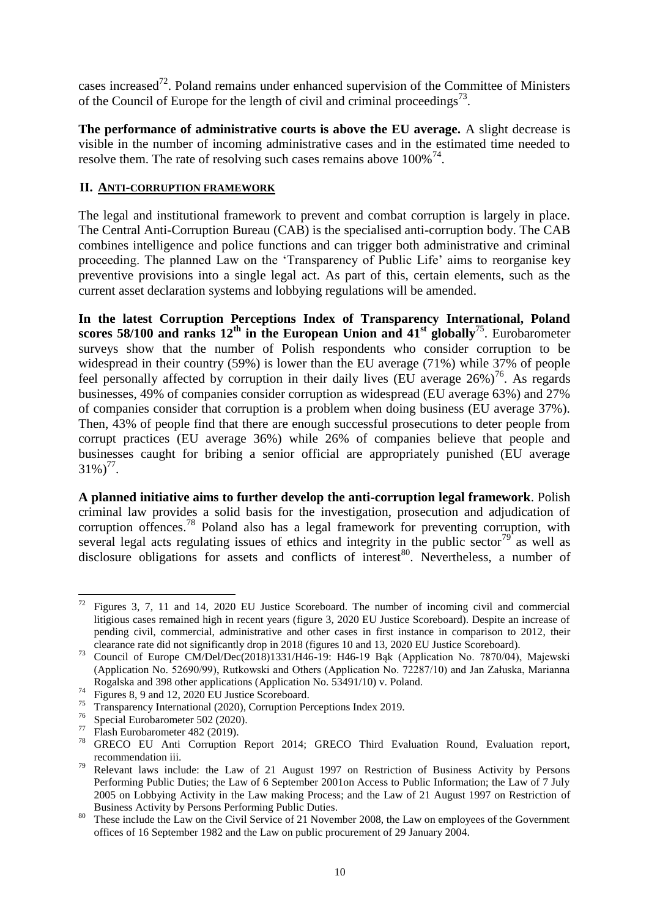cases increased<sup>72</sup>. Poland remains under enhanced supervision of the Committee of Ministers of the Council of Europe for the length of civil and criminal proceedings<sup>73</sup>.

**The performance of administrative courts is above the EU average.** A slight decrease is visible in the number of incoming administrative cases and in the estimated time needed to resolve them. The rate of resolving such cases remains above  $100\%$ <sup>74</sup>.

## **II. ANTI-CORRUPTION FRAMEWORK**

The legal and institutional framework to prevent and combat corruption is largely in place. The Central Anti-Corruption Bureau (CAB) is the specialised anti-corruption body. The CAB combines intelligence and police functions and can trigger both administrative and criminal proceeding. The planned Law on the 'Transparency of Public Life' aims to reorganise key preventive provisions into a single legal act. As part of this, certain elements, such as the current asset declaration systems and lobbying regulations will be amended.

**In the latest Corruption Perceptions Index of Transparency International, Poland scores 58/100 and ranks**  $12^{th}$  **in the European Union and**  $41^{st}$  **globally<sup>75</sup>. Eurobarometer** surveys show that the number of Polish respondents who consider corruption to be widespread in their country (59%) is lower than the EU average (71%) while 37% of people feel personally affected by corruption in their daily lives (EU average  $26\%$ )<sup>76</sup>. As regards businesses, 49% of companies consider corruption as widespread (EU average 63%) and 27% of companies consider that corruption is a problem when doing business (EU average 37%). Then, 43% of people find that there are enough successful prosecutions to deter people from corrupt practices (EU average 36%) while 26% of companies believe that people and businesses caught for bribing a senior official are appropriately punished (EU average  $31\%/77}$ .

**A planned initiative aims to further develop the anti-corruption legal framework**. Polish criminal law provides a solid basis for the investigation, prosecution and adjudication of corruption offences.<sup>78</sup> Poland also has a legal framework for preventing corruption, with several legal acts regulating issues of ethics and integrity in the public sector<sup>79</sup> as well as disclosure obligations for assets and conflicts of interest<sup>80</sup>. Nevertheless, a number of

Figures 3, 7, 11 and 14, 2020 EU Justice Scoreboard. The number of incoming civil and commercial litigious cases remained high in recent years (figure 3, 2020 EU Justice Scoreboard). Despite an increase of pending civil, commercial, administrative and other cases in first instance in comparison to 2012, their clearance rate did not significantly drop in 2018 (figures 10 and 13, 2020 EU Justice Scoreboard).

<sup>73</sup> Council of Europe CM/Del/Dec(2018)1331/H46-19: H46-19 Bąk (Application No. 7870/04), Majewski (Application No. 52690/99), Rutkowski and Others (Application No. 72287/10) and Jan Załuska, Marianna Rogalska and 398 other applications (Application No. 53491/10) v. Poland.

 $74$  Figures 8, 9 and 12, 2020 EU Justice Scoreboard.

<sup>75</sup> Transparency International (2020), Corruption Perceptions Index 2019.

 $^{76}$  Special Eurobarometer 502 (2020).<br><sup>77</sup> Elash Eurobarometer 482 (2010).

Flash Eurobarometer 482 (2019).

<sup>78</sup> GRECO EU Anti Corruption Report 2014; GRECO Third Evaluation Round, Evaluation report, recommendation iii.

 $79$  Relevant laws include: the Law of 21 August 1997 on Restriction of Business Activity by Persons Performing Public Duties; the Law of 6 September 2001on Access to Public Information; the Law of 7 July 2005 on Lobbying Activity in the Law making Process; and the Law of 21 August 1997 on Restriction of Business Activity by Persons Performing Public Duties.

These include the Law on the Civil Service of 21 November 2008, the Law on employees of the Government offices of 16 September 1982 and the Law on public procurement of 29 January 2004.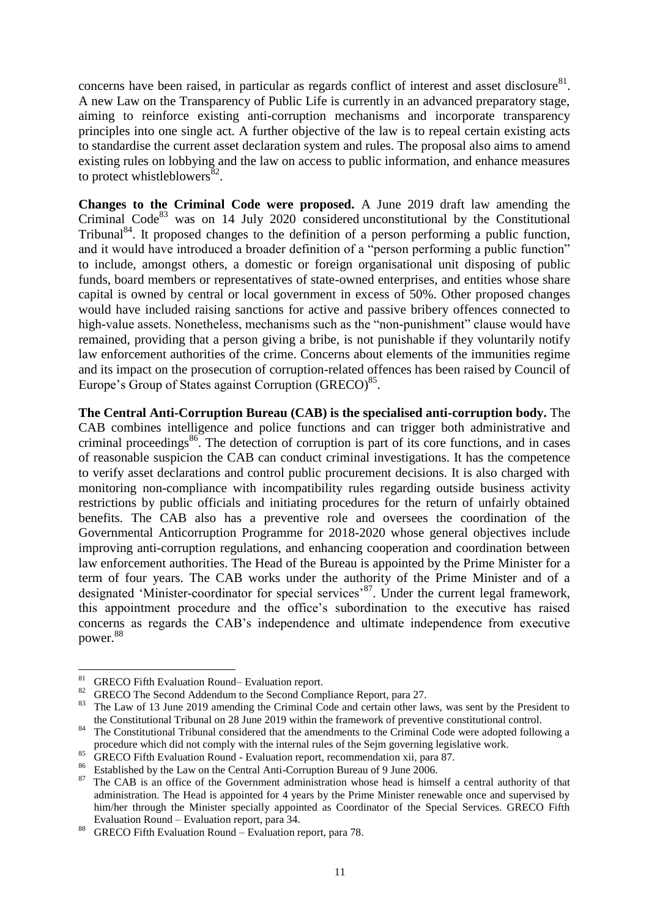concerns have been raised, in particular as regards conflict of interest and asset disclosure $81$ . A new Law on the Transparency of Public Life is currently in an advanced preparatory stage, aiming to reinforce existing anti-corruption mechanisms and incorporate transparency principles into one single act. A further objective of the law is to repeal certain existing acts to standardise the current asset declaration system and rules. The proposal also aims to amend existing rules on lobbying and the law on access to public information, and enhance measures to protect whistleblowers $^{82}$ .

**Changes to the Criminal Code were proposed.** A June 2019 draft law amending the Criminal Code $83$  was on 14 July 2020 considered unconstitutional by the Constitutional Tribunal<sup>84</sup>. It proposed changes to the definition of a person performing a public function, and it would have introduced a broader definition of a "person performing a public function" to include, amongst others, a domestic or foreign organisational unit disposing of public funds, board members or representatives of state-owned enterprises, and entities whose share capital is owned by central or local government in excess of 50%. Other proposed changes would have included raising sanctions for active and passive bribery offences connected to high-value assets. Nonetheless, mechanisms such as the "non-punishment" clause would have remained, providing that a person giving a bribe, is not punishable if they voluntarily notify law enforcement authorities of the crime. Concerns about elements of the immunities regime and its impact on the prosecution of corruption-related offences has been raised by Council of Europe's Group of States against Corruption (GRECO)<sup>85</sup>.

**The Central Anti-Corruption Bureau (CAB) is the specialised anti-corruption body.** The CAB combines intelligence and police functions and can trigger both administrative and criminal proceedings<sup>86</sup>. The detection of corruption is part of its core functions, and in cases of reasonable suspicion the CAB can conduct criminal investigations. It has the competence to verify asset declarations and control public procurement decisions. It is also charged with monitoring non-compliance with incompatibility rules regarding outside business activity restrictions by public officials and initiating procedures for the return of unfairly obtained benefits. The CAB also has a preventive role and oversees the coordination of the Governmental Anticorruption Programme for 2018-2020 whose general objectives include improving anti-corruption regulations, and enhancing cooperation and coordination between law enforcement authorities. The Head of the Bureau is appointed by the Prime Minister for a term of four years. The CAB works under the authority of the Prime Minister and of a designated 'Minister-coordinator for special services'<sup>87</sup>. Under the current legal framework, this appointment procedure and the office's subordination to the executive has raised concerns as regards the CAB's independence and ultimate independence from executive power.<sup>88</sup>

<sup>81</sup> <sup>81</sup> GRECO Fifth Evaluation Round– Evaluation report.

<sup>&</sup>lt;sup>82</sup> GRECO The Second Addendum to the Second Compliance Report, para 27.

<sup>83</sup> The Law of 13 June 2019 amending the Criminal Code and certain other laws, was sent by the President to the Constitutional Tribunal on 28 June 2019 within the framework of preventive constitutional control.

<sup>&</sup>lt;sup>84</sup> The Constitutional Tribunal considered that the amendments to the Criminal Code were adopted following a procedure which did not comply with the internal rules of the Sejm governing legislative work.

<sup>85</sup> GRECO Fifth Evaluation Round - Evaluation report, recommendation xii, para 87.

<sup>&</sup>lt;sup>86</sup> Established by the Law on the Central Anti-Corruption Bureau of 9 June 2006.

<sup>87</sup> The CAB is an office of the Government administration whose head is himself a central authority of that administration. The Head is appointed for 4 years by the Prime Minister renewable once and supervised by him/her through the Minister specially appointed as Coordinator of the Special Services. GRECO Fifth Evaluation Round – Evaluation report, para 34.

<sup>88</sup> GRECO Fifth Evaluation Round – Evaluation report, para 78.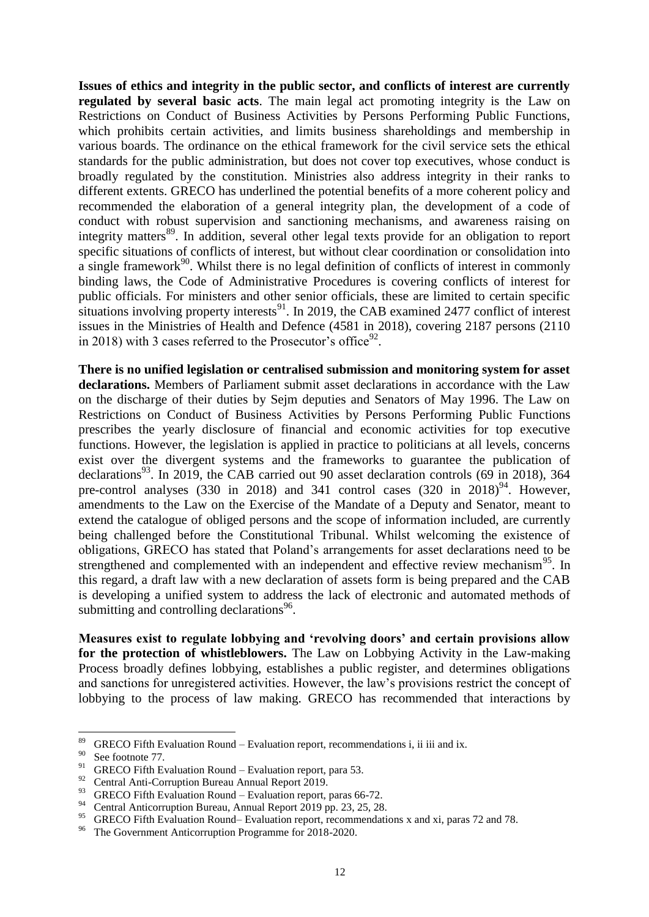**Issues of ethics and integrity in the public sector, and conflicts of interest are currently regulated by several basic acts**. The main legal act promoting integrity is the Law on Restrictions on Conduct of Business Activities by Persons Performing Public Functions, which prohibits certain activities, and limits business shareholdings and membership in various boards. The ordinance on the ethical framework for the civil service sets the ethical standards for the public administration, but does not cover top executives, whose conduct is broadly regulated by the constitution. Ministries also address integrity in their ranks to different extents. GRECO has underlined the potential benefits of a more coherent policy and recommended the elaboration of a general integrity plan, the development of a code of conduct with robust supervision and sanctioning mechanisms, and awareness raising on integrity matters<sup>89</sup>. In addition, several other legal texts provide for an obligation to report specific situations of conflicts of interest, but without clear coordination or consolidation into  $\alpha$  single framework<sup>90</sup>. Whilst there is no legal definition of conflicts of interest in commonly binding laws, the Code of Administrative Procedures is covering conflicts of interest for public officials. For ministers and other senior officials, these are limited to certain specific situations involving property interests<sup>91</sup>. In 2019, the CAB examined 2477 conflict of interest issues in the Ministries of Health and Defence (4581 in 2018), covering 2187 persons (2110 in 2018) with 3 cases referred to the Prosecutor's office<sup>92</sup>.

**There is no unified legislation or centralised submission and monitoring system for asset declarations.** Members of Parliament submit asset declarations in accordance with the Law on the discharge of their duties by Sejm deputies and Senators of May 1996. The Law on Restrictions on Conduct of Business Activities by Persons Performing Public Functions prescribes the yearly disclosure of financial and economic activities for top executive functions. However, the legislation is applied in practice to politicians at all levels, concerns exist over the divergent systems and the frameworks to guarantee the publication of declarations<sup>93</sup>. In 2019, the CAB carried out 90 asset declaration controls (69 in 2018), 364 pre-control analyses (330 in 2018) and 341 control cases (320 in  $2018$ )<sup>94</sup>. However, amendments to the Law on the Exercise of the Mandate of a Deputy and Senator, meant to extend the catalogue of obliged persons and the scope of information included, are currently being challenged before the Constitutional Tribunal. Whilst welcoming the existence of obligations, GRECO has stated that Poland's arrangements for asset declarations need to be strengthened and complemented with an independent and effective review mechanism<sup>95</sup>. In this regard, a draft law with a new declaration of assets form is being prepared and the CAB is developing a unified system to address the lack of electronic and automated methods of submitting and controlling declarations<sup>96</sup>.

**Measures exist to regulate lobbying and 'revolving doors' and certain provisions allow for the protection of whistleblowers.** The Law on Lobbying Activity in the Law-making Process broadly defines lobbying, establishes a public register, and determines obligations and sanctions for unregistered activities. However, the law's provisions restrict the concept of lobbying to the process of law making. GRECO has recommended that interactions by

<sup>&</sup>lt;sup>89</sup> GRECO Fifth Evaluation Round – Evaluation report, recommendations i, ii iii and ix.

 $^{90}$  See footnote 77.

<sup>&</sup>lt;sup>91</sup> GRECO Fifth Evaluation Round – Evaluation report, para 53.

<sup>&</sup>lt;sup>92</sup> Central Anti-Corruption Bureau Annual Report 2019.

<sup>&</sup>lt;sup>93</sup> GRECO Fifth Evaluation Round – Evaluation report, paras 66-72.<br><sup>94</sup> Cantral Anticompation Burgey, Annual Bancti 2010 av. 22, 25, 28.

<sup>&</sup>lt;sup>94</sup> Central Anticorruption Bureau, Annual Report 2019 pp. 23, 25, 28.

<sup>&</sup>lt;sup>95</sup> GRECO Fifth Evaluation Round– Evaluation report, recommendations x and xi, paras 72 and 78.<br><sup>96</sup> The Government Anticorruption Programme for 2018 2020.

The Government Anticorruption Programme for 2018-2020.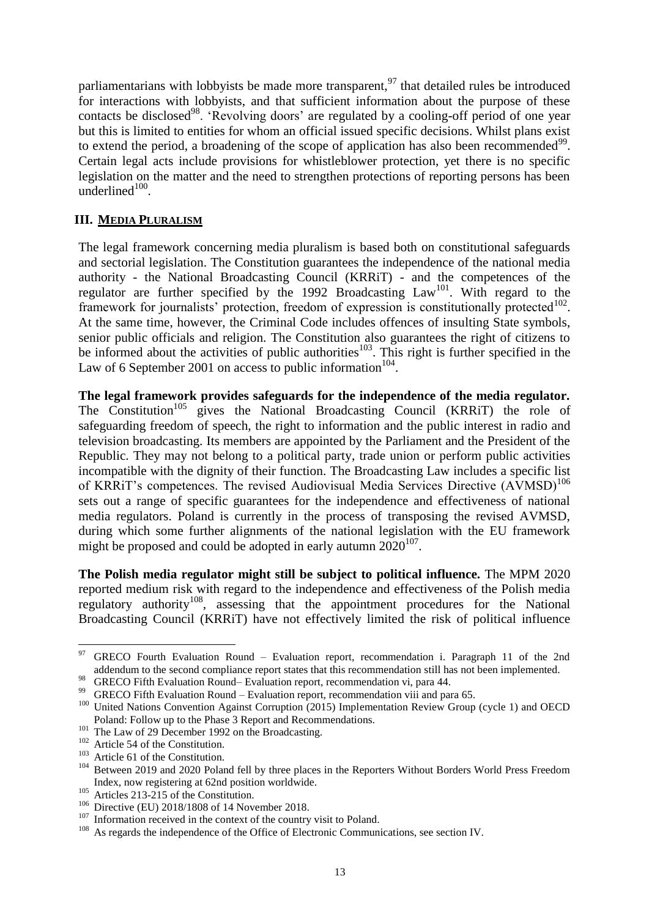parliamentarians with lobbyists be made more transparent,<sup>97</sup> that detailed rules be introduced for interactions with lobbyists, and that sufficient information about the purpose of these contacts be disclosed<sup>98</sup>. 'Revolving doors' are regulated by a cooling-off period of one year but this is limited to entities for whom an official issued specific decisions. Whilst plans exist to extend the period, a broadening of the scope of application has also been recommended $99$ . Certain legal acts include provisions for whistleblower protection, yet there is no specific legislation on the matter and the need to strengthen protections of reporting persons has been underlined $100$ .

## **III. MEDIA PLURALISM**

The legal framework concerning media pluralism is based both on constitutional safeguards and sectorial legislation. The Constitution guarantees the independence of the national media authority - the National Broadcasting Council (KRRiT) - and the competences of the regulator are further specified by the 1992 Broadcasting  $Law<sup>101</sup>$ . With regard to the framework for journalists' protection, freedom of expression is constitutionally protected<sup>102</sup>. At the same time, however, the Criminal Code includes offences of insulting State symbols, senior public officials and religion. The Constitution also guarantees the right of citizens to be informed about the activities of public authorities<sup>103</sup>. This right is further specified in the Law of 6 September 2001 on access to public information  $104$ .

**The legal framework provides safeguards for the independence of the media regulator.** The Constitution<sup>105</sup> gives the National Broadcasting Council (KRRiT) the role of safeguarding freedom of speech, the right to information and the public interest in radio and television broadcasting. Its members are appointed by the Parliament and the President of the Republic. They may not belong to a political party, trade union or perform public activities incompatible with the dignity of their function. The Broadcasting Law includes a specific list of KRRiT's competences. The revised Audiovisual Media Services Directive (AVMSD)<sup>106</sup> sets out a range of specific guarantees for the independence and effectiveness of national media regulators. Poland is currently in the process of transposing the revised AVMSD, during which some further alignments of the national legislation with the EU framework might be proposed and could be adopted in early autumn  $2020^{107}$ .

**The Polish media regulator might still be subject to political influence.** The MPM 2020 reported medium risk with regard to the independence and effectiveness of the Polish media regulatory authority<sup>108</sup>, assessing that the appointment procedures for the National Broadcasting Council (KRRiT) have not effectively limited the risk of political influence

<u>.</u>

 $97$  GRECO Fourth Evaluation Round – Evaluation report, recommendation i. Paragraph 11 of the 2nd addendum to the second compliance report states that this recommendation still has not been implemented.

<sup>98</sup> GRECO Fifth Evaluation Round– Evaluation report, recommendation vi, para 44.

<sup>&</sup>lt;sup>99</sup> GRECO Fifth Evaluation Round – Evaluation report, recommendation viii and para 65.

<sup>&</sup>lt;sup>100</sup> United Nations Convention Against Corruption (2015) Implementation Review Group (cycle 1) and OECD Poland: Follow up to the Phase 3 Report and Recommendations.

<sup>&</sup>lt;sup>101</sup> The Law of 29 December 1992 on the Broadcasting.

<sup>102</sup> Article 54 of the Constitution.

<sup>&</sup>lt;sup>103</sup> Article 61 of the Constitution.

<sup>&</sup>lt;sup>104</sup> Between 2019 and 2020 Poland fell by three places in the Reporters Without Borders World Press Freedom Index, now registering at 62nd position worldwide.

<sup>&</sup>lt;sup>105</sup> Articles 213-215 of the Constitution.

<sup>&</sup>lt;sup>106</sup> Directive (EU) 2018/1808 of 14 November 2018.

<sup>&</sup>lt;sup>107</sup> Information received in the context of the country visit to Poland.<br><sup>108</sup> As regards the independence of the Office of Electronic Communi

As regards the independence of the Office of Electronic Communications, see section IV.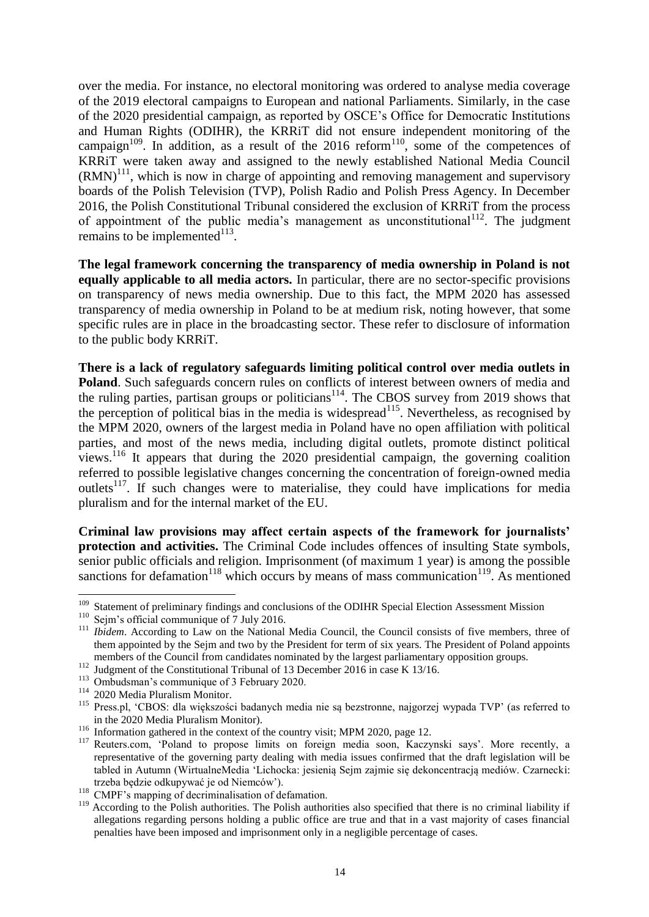over the media. For instance, no electoral monitoring was ordered to analyse media coverage of the 2019 electoral campaigns to European and national Parliaments. Similarly, in the case of the 2020 presidential campaign, as reported by OSCE's Office for Democratic Institutions and Human Rights (ODIHR), the KRRiT did not ensure independent monitoring of the campaign $109$ . In addition, as a result of the 2016 reform $110$ , some of the competences of KRRiT were taken away and assigned to the newly established National Media Council  $(RMN)^{111}$ , which is now in charge of appointing and removing management and supervisory boards of the Polish Television (TVP), Polish Radio and Polish Press Agency. In December 2016, the Polish Constitutional Tribunal considered the exclusion of KRRiT from the process of appointment of the public media's management as unconstitutional<sup>112</sup>. The judgment remains to be implemented $113$ .

**The legal framework concerning the transparency of media ownership in Poland is not equally applicable to all media actors.** In particular, there are no sector-specific provisions on transparency of news media ownership. Due to this fact, the MPM 2020 has assessed transparency of media ownership in Poland to be at medium risk, noting however, that some specific rules are in place in the broadcasting sector. These refer to disclosure of information to the public body KRRiT.

**There is a lack of regulatory safeguards limiting political control over media outlets in Poland**. Such safeguards concern rules on conflicts of interest between owners of media and the ruling parties, partisan groups or politicians<sup>114</sup>. The CBOS survey from 2019 shows that the perception of political bias in the media is widespread<sup>115</sup>. Nevertheless, as recognised by the MPM 2020, owners of the largest media in Poland have no open affiliation with political parties, and most of the news media, including digital outlets, promote distinct political views.<sup>116</sup> It appears that during the 2020 presidential campaign, the governing coalition referred to possible legislative changes concerning the concentration of foreign-owned media outlets<sup>117</sup>. If such changes were to materialise, they could have implications for media pluralism and for the internal market of the EU.

**Criminal law provisions may affect certain aspects of the framework for journalists' protection and activities.** The Criminal Code includes offences of insulting State symbols, senior public officials and religion. Imprisonment (of maximum 1 year) is among the possible sanctions for defamation<sup>118</sup> which occurs by means of mass communication<sup>119</sup>. As mentioned

<sup>&</sup>lt;sup>109</sup> Statement of preliminary findings and conclusions of the ODIHR Special Election Assessment Mission

<sup>&</sup>lt;sup>110</sup> Sejm's official communique of 7 July 2016.

<sup>&</sup>lt;sup>111</sup> *Ibidem*. According to Law on the National Media Council, the Council consists of five members, three of them appointed by the Sejm and two by the President for term of six years. The President of Poland appoints members of the Council from candidates nominated by the largest parliamentary opposition groups.

<sup>&</sup>lt;sup>112</sup> Judgment of the Constitutional Tribunal of 13 December 2016 in case K 13/16.

<sup>113</sup> Ombudsman's communique of 3 February 2020.

<sup>114</sup> 2020 Media Pluralism Monitor.

<sup>115</sup> Press.pl, 'CBOS: dla większości badanych media nie są bezstronne, najgorzej wypada TVP' (as referred to in the 2020 Media Pluralism Monitor).

<sup>&</sup>lt;sup>116</sup> Information gathered in the context of the country visit; MPM 2020, page 12.

<sup>&</sup>lt;sup>117</sup> Reuters.com, 'Poland to propose limits on foreign media soon, Kaczynski says'. More recently, a representative of the governing party dealing with media issues confirmed that the draft legislation will be tabled in Autumn (WirtualneMedia 'Lichocka: jesienią Sejm zajmie się dekoncentracją mediów. Czarnecki: trzeba będzie odkupywać je od Niemców').

<sup>&</sup>lt;sup>118</sup> CMPF's mapping of decriminalisation of defamation.

<sup>&</sup>lt;sup>119</sup> According to the Polish authorities. The Polish authorities also specified that there is no criminal liability if allegations regarding persons holding a public office are true and that in a vast majority of cases financial penalties have been imposed and imprisonment only in a negligible percentage of cases.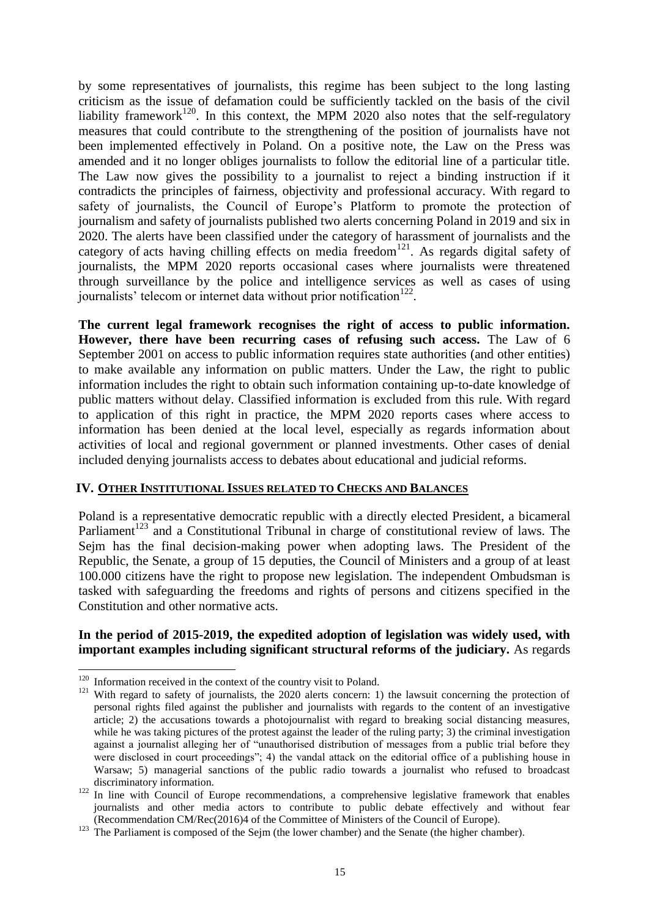by some representatives of journalists, this regime has been subject to the long lasting criticism as the issue of defamation could be sufficiently tackled on the basis of the civil liability framework<sup>120</sup>. In this context, the MPM 2020 also notes that the self-regulatory measures that could contribute to the strengthening of the position of journalists have not been implemented effectively in Poland. On a positive note, the Law on the Press was amended and it no longer obliges journalists to follow the editorial line of a particular title. The Law now gives the possibility to a journalist to reject a binding instruction if it contradicts the principles of fairness, objectivity and professional accuracy. With regard to safety of journalists, the Council of Europe's Platform to promote the protection of journalism and safety of journalists published two alerts concerning Poland in 2019 and six in 2020. The alerts have been classified under the category of harassment of journalists and the category of acts having chilling effects on media freedom<sup>121</sup>. As regards digital safety of journalists, the MPM 2020 reports occasional cases where journalists were threatened through surveillance by the police and intelligence services as well as cases of using journalists' telecom or internet data without prior notification<sup>122</sup>.

**The current legal framework recognises the right of access to public information. However, there have been recurring cases of refusing such access.** The Law of 6 September 2001 on access to public information requires state authorities (and other entities) to make available any information on public matters. Under the Law, the right to public information includes the right to obtain such information containing up-to-date knowledge of public matters without delay. Classified information is excluded from this rule. With regard to application of this right in practice, the MPM 2020 reports cases where access to information has been denied at the local level, especially as regards information about activities of local and regional government or planned investments. Other cases of denial included denying journalists access to debates about educational and judicial reforms.

#### **IV. OTHER INSTITUTIONAL ISSUES RELATED TO CHECKS AND BALANCES**

Poland is a representative democratic republic with a directly elected President, a bicameral Parliament<sup>123</sup> and a Constitutional Tribunal in charge of constitutional review of laws. The Sejm has the final decision-making power when adopting laws. The President of the Republic, the Senate, a group of 15 deputies, the Council of Ministers and a group of at least 100.000 citizens have the right to propose new legislation. The independent Ombudsman is tasked with safeguarding the freedoms and rights of persons and citizens specified in the Constitution and other normative acts.

## **In the period of 2015-2019, the expedited adoption of legislation was widely used, with important examples including significant structural reforms of the judiciary.** As regards

 $120$  Information received in the context of the country visit to Poland.

<sup>&</sup>lt;sup>121</sup> With regard to safety of journalists, the 2020 alerts concern: 1) the lawsuit concerning the protection of personal rights filed against the publisher and journalists with regards to the content of an investigative article; 2) the accusations towards a photojournalist with regard to breaking social distancing measures, while he was taking pictures of the protest against the leader of the ruling party; 3) the criminal investigation against a journalist alleging her of "unauthorised distribution of messages from a public trial before they were disclosed in court proceedings"; 4) the vandal attack on the editorial office of a publishing house in Warsaw; 5) managerial sanctions of the public radio towards a journalist who refused to broadcast discriminatory information.

<sup>&</sup>lt;sup>122</sup> In line with Council of Europe recommendations, a comprehensive legislative framework that enables journalists and other media actors to contribute to public debate effectively and without fear (Recommendation CM/Rec(2016)4 of the Committee of Ministers of the Council of Europe).

<sup>&</sup>lt;sup>123</sup> The Parliament is composed of the Sejm (the lower chamber) and the Senate (the higher chamber).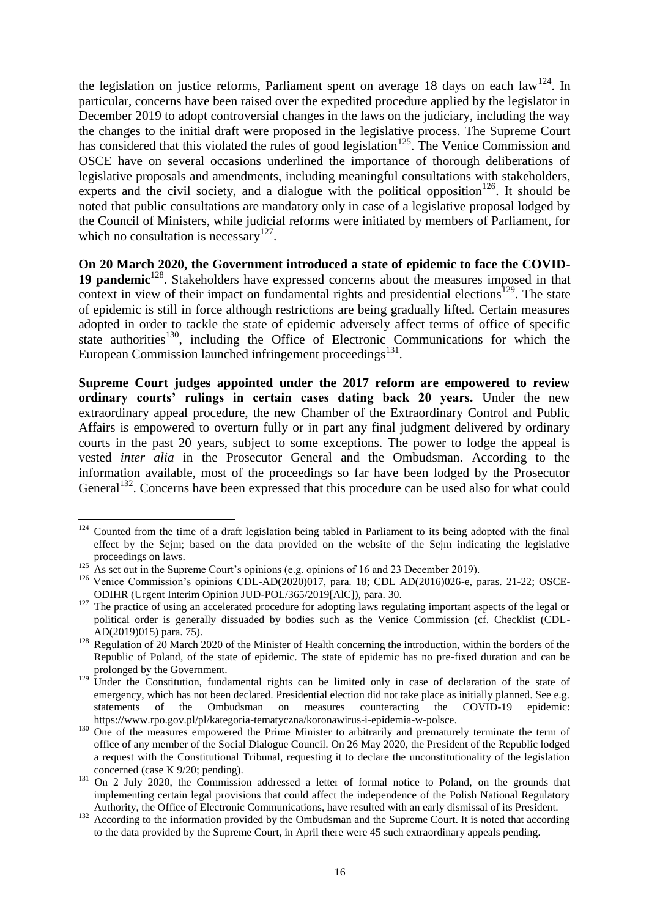the legislation on justice reforms, Parliament spent on average 18 days on each law<sup>124</sup>. In particular, concerns have been raised over the expedited procedure applied by the legislator in December 2019 to adopt controversial changes in the laws on the judiciary, including the way the changes to the initial draft were proposed in the legislative process. The Supreme Court has considered that this violated the rules of good legislation<sup>125</sup>. The Venice Commission and OSCE have on several occasions underlined the importance of thorough deliberations of legislative proposals and amendments, including meaningful consultations with stakeholders, experts and the civil society, and a dialogue with the political opposition<sup>126</sup>. It should be noted that public consultations are mandatory only in case of a legislative proposal lodged by the Council of Ministers, while judicial reforms were initiated by members of Parliament, for which no consultation is necessary<sup>127</sup>.

**On 20 March 2020, the Government introduced a state of epidemic to face the COVID-**19 **pandemic**<sup>128</sup>. Stakeholders have expressed concerns about the measures imposed in that context in view of their impact on fundamental rights and presidential elections<sup>129</sup>. The state of epidemic is still in force although restrictions are being gradually lifted. Certain measures adopted in order to tackle the state of epidemic adversely affect terms of office of specific state authorities<sup>130</sup>, including the Office of Electronic Communications for which the European Commission launched infringement proceedings<sup>131</sup>.

**Supreme Court judges appointed under the 2017 reform are empowered to review ordinary courts' rulings in certain cases dating back 20 years.** Under the new extraordinary appeal procedure, the new Chamber of the Extraordinary Control and Public Affairs is empowered to overturn fully or in part any final judgment delivered by ordinary courts in the past 20 years, subject to some exceptions. The power to lodge the appeal is vested *inter alia* in the Prosecutor General and the Ombudsman. According to the information available, most of the proceedings so far have been lodged by the Prosecutor General<sup>132</sup>. Concerns have been expressed that this procedure can be used also for what could

 $124$  Counted from the time of a draft legislation being tabled in Parliament to its being adopted with the final effect by the Sejm; based on the data provided on the website of the Sejm indicating the legislative proceedings on laws.

<sup>&</sup>lt;sup>125</sup> As set out in the Supreme Court's opinions (e.g. opinions of 16 and 23 December 2019).

<sup>&</sup>lt;sup>126</sup> Venice Commission's opinions CDL-AD(2020)017, para. 18; CDL AD(2016)026-e, paras. 21-22; OSCE-ODIHR (Urgent Interim Opinion JUD-POL/365/2019[AlC]), para. 30.

<sup>&</sup>lt;sup>127</sup> The practice of using an accelerated procedure for adopting laws regulating important aspects of the legal or political order is generally dissuaded by bodies such as the Venice Commission (cf. Checklist (CDL-AD(2019)015) para. 75).

<sup>&</sup>lt;sup>128</sup> Regulation of 20 March 2020 of the Minister of Health concerning the introduction, within the borders of the Republic of Poland, of the state of epidemic. The state of epidemic has no pre-fixed duration and can be prolonged by the Government.

<sup>&</sup>lt;sup>129</sup> Under the Constitution, fundamental rights can be limited only in case of declaration of the state of emergency, which has not been declared. Presidential election did not take place as initially planned. See e.g. statements of the Ombudsman on measures counteracting the COVID-19 epidemic: https://www.rpo.gov.pl/pl/kategoria-tematyczna/koronawirus-i-epidemia-w-polsce.

<sup>&</sup>lt;sup>130</sup> One of the measures empowered the Prime Minister to arbitrarily and prematurely terminate the term of office of any member of the Social Dialogue Council. On 26 May 2020, the President of the Republic lodged a request with the Constitutional Tribunal, requesting it to declare the unconstitutionality of the legislation concerned (case K 9/20; pending).

<sup>&</sup>lt;sup>131</sup> On 2 July 2020, the Commission addressed a letter of formal notice to Poland, on the grounds that implementing certain legal provisions that could affect the independence of the Polish National Regulatory Authority, the Office of Electronic Communications, have resulted with an early dismissal of its President.

<sup>132</sup> According to the information provided by the Ombudsman and the Supreme Court. It is noted that according to the data provided by the Supreme Court, in April there were 45 such extraordinary appeals pending.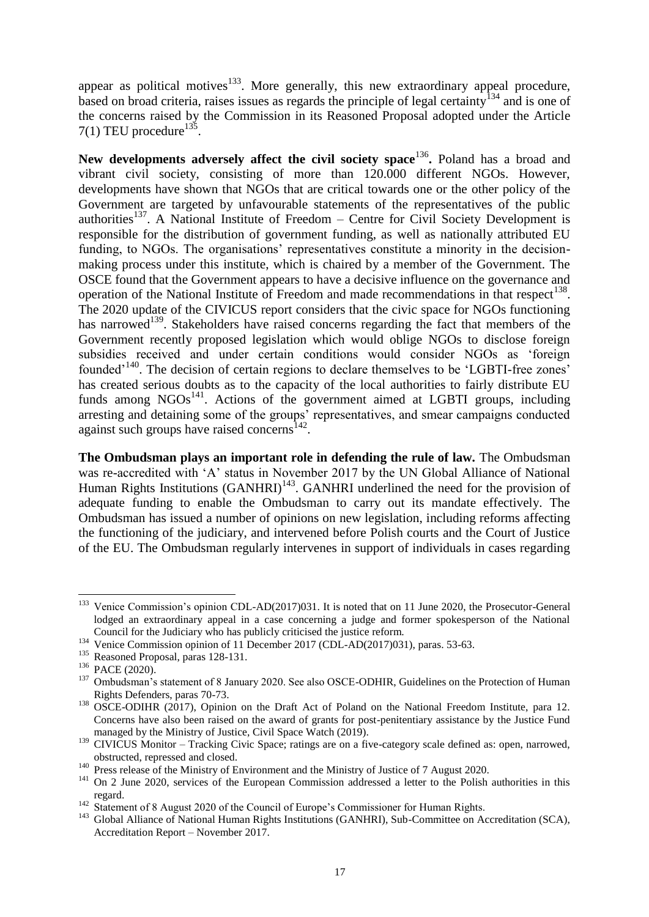appear as political motives<sup>133</sup>. More generally, this new extraordinary appeal procedure, based on broad criteria, raises issues as regards the principle of legal certainty<sup>134</sup> and is one of the concerns raised by the Commission in its Reasoned Proposal adopted under the Article  $7(1)$  TEU procedure<sup>135</sup>.

New developments adversely affect the civil society space<sup>136</sup>. Poland has a broad and vibrant civil society, consisting of more than 120.000 different NGOs. However, developments have shown that NGOs that are critical towards one or the other policy of the Government are targeted by unfavourable statements of the representatives of the public authorities<sup>137</sup>. A National Institute of Freedom – Centre for Civil Society Development is responsible for the distribution of government funding, as well as nationally attributed EU funding, to NGOs. The organisations' representatives constitute a minority in the decisionmaking process under this institute, which is chaired by a member of the Government. The OSCE found that the Government appears to have a decisive influence on the governance and operation of the National Institute of Freedom and made recommendations in that respect<sup>138</sup>. The 2020 update of the CIVICUS report considers that the civic space for NGOs functioning has narrowed<sup>139</sup>. Stakeholders have raised concerns regarding the fact that members of the Government recently proposed legislation which would oblige NGOs to disclose foreign subsidies received and under certain conditions would consider NGOs as 'foreign founded<sup>-140</sup>. The decision of certain regions to declare themselves to be 'LGBTI-free zones' has created serious doubts as to the capacity of the local authorities to fairly distribute EU funds among  $NGOs<sup>141</sup>$ . Actions of the government aimed at LGBTI groups, including arresting and detaining some of the groups' representatives, and smear campaigns conducted against such groups have raised concerns<sup>142</sup>.

**The Ombudsman plays an important role in defending the rule of law.** The Ombudsman was re-accredited with 'A' status in November 2017 by the UN Global Alliance of National Human Rights Institutions (GANHRI)<sup>143</sup>. GANHRI underlined the need for the provision of adequate funding to enable the Ombudsman to carry out its mandate effectively. The Ombudsman has issued a number of opinions on new legislation, including reforms affecting the functioning of the judiciary, and intervened before Polish courts and the Court of Justice of the EU. The Ombudsman regularly intervenes in support of individuals in cases regarding

<sup>&</sup>lt;sup>133</sup> Venice Commission's opinion CDL-AD(2017)031. It is noted that on 11 June 2020, the Prosecutor-General lodged an extraordinary appeal in a case concerning a judge and former spokesperson of the National Council for the Judiciary who has publicly criticised the justice reform.

<sup>&</sup>lt;sup>134</sup> Venice Commission opinion of 11 December 2017 (CDL-AD(2017)031), paras. 53-63.

<sup>&</sup>lt;sup>135</sup> Reasoned Proposal, paras 128-131.

<sup>&</sup>lt;sup>136</sup> PACE (2020).

<sup>&</sup>lt;sup>137</sup> Ombudsman's statement of 8 January 2020. See also OSCE-ODHIR, Guidelines on the Protection of Human Rights Defenders, paras 70-73.

<sup>&</sup>lt;sup>138</sup> OSCE-ODIHR (2017), Opinion on the Draft Act of Poland on the National Freedom Institute, para 12. Concerns have also been raised on the award of grants for post-penitentiary assistance by the Justice Fund managed by the Ministry of Justice, Civil Space Watch (2019).

<sup>&</sup>lt;sup>139</sup> CIVICUS Monitor – Tracking Civic Space; ratings are on a five-category scale defined as: open, narrowed, obstructed, repressed and closed.

<sup>&</sup>lt;sup>140</sup> Press release of the Ministry of Environment and the Ministry of Justice of 7 August 2020.

<sup>&</sup>lt;sup>141</sup> On 2 June 2020, services of the European Commission addressed a letter to the Polish authorities in this regard.

<sup>&</sup>lt;sup>142</sup> Statement of 8 August 2020 of the Council of Europe's Commissioner for Human Rights.

<sup>&</sup>lt;sup>143</sup> Global Alliance of National Human Rights Institutions (GANHRI), Sub-Committee on Accreditation (SCA), Accreditation Report – November 2017.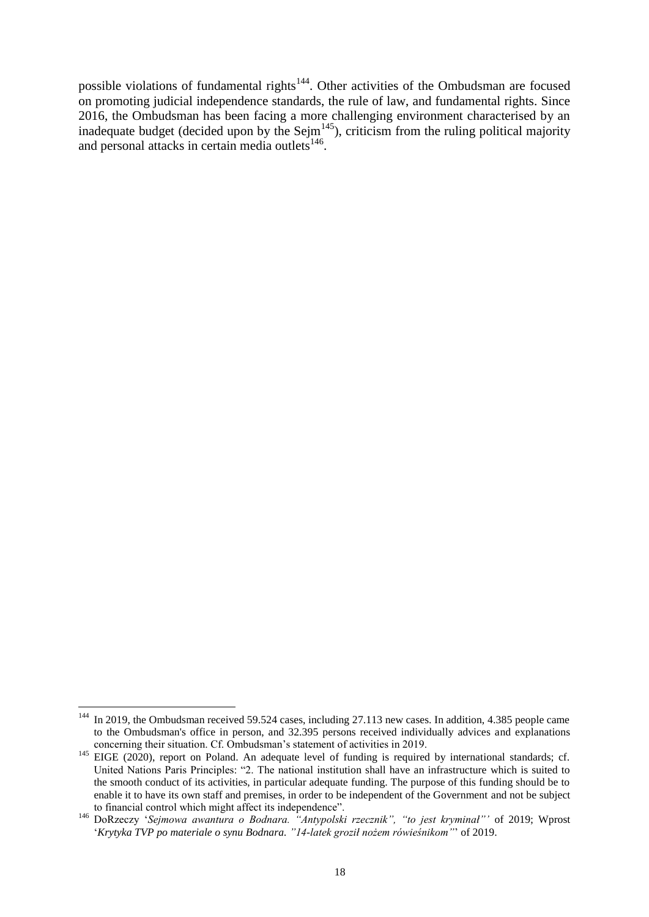possible violations of fundamental rights<sup>144</sup>. Other activities of the Ombudsman are focused on promoting judicial independence standards, the rule of law, and fundamental rights. Since 2016, the Ombudsman has been facing a more challenging environment characterised by an inadequate budget (decided upon by the Sejm $^{145}$ ), criticism from the ruling political majority and personal attacks in certain media outlets<sup>146</sup>.

<sup>1</sup> <sup>144</sup> In 2019, the Ombudsman received 59.524 cases, including 27.113 new cases. In addition, 4.385 people came to the Ombudsman's office in person, and 32.395 persons received individually advices and explanations concerning their situation. Cf. Ombudsman's statement of activities in 2019.

<sup>&</sup>lt;sup>145</sup> EIGE (2020), report on Poland. An adequate level of funding is required by international standards; cf. United Nations Paris Principles: "2. The national institution shall have an infrastructure which is suited to the smooth conduct of its activities, in particular adequate funding. The purpose of this funding should be to enable it to have its own staff and premises, in order to be independent of the Government and not be subject to financial control which might affect its independence".

<sup>146</sup> DoRzeczy '*Sejmowa awantura o Bodnara. "Antypolski rzecznik", "to jest kryminał"'* of 2019; Wprost '*Krytyka TVP po materiale o synu Bodnara. "14-latek groził nożem rówieśnikom"*' of 2019.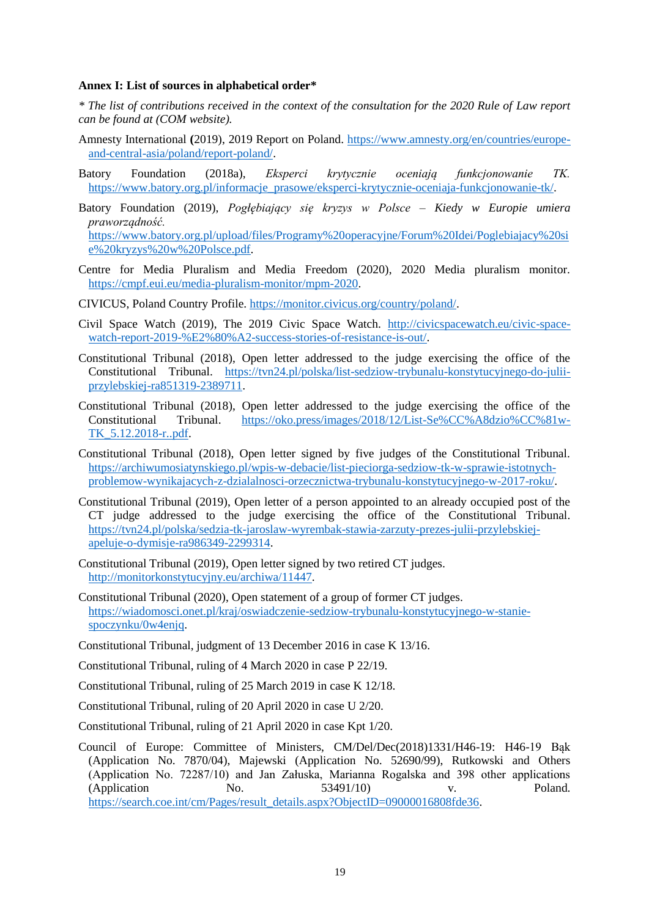#### **Annex I: List of sources in alphabetical order\***

*\* The list of contributions received in the context of the consultation for the 2020 Rule of Law report can be found at (COM website).*

- Amnesty International **(**2019), 2019 Report on Poland. [https://www.amnesty.org/en/countries/europe](https://www.amnesty.org/en/countries/europe-and-central-asia/poland/report-poland/)[and-central-asia/poland/report-poland/.](https://www.amnesty.org/en/countries/europe-and-central-asia/poland/report-poland/)
- Batory Foundation (2018a), *Eksperci krytycznie oceniają funkcjonowanie TK.*  [https://www.batory.org.pl/informacje\\_prasowe/eksperci-krytycznie-oceniaja-funkcjonowanie-tk/.](https://www.batory.org.pl/informacje_prasowe/eksperci-krytycznie-oceniaja-funkcjonowanie-tk/)
- Batory Foundation (2019), *Pogłębiający się kryzys w Polsce – Kiedy w Europie umiera praworządność.* [https://www.batory.org.pl/upload/files/Programy%20operacyjne/Forum%20Idei/Poglebiajacy%20si](https://www.batory.org.pl/upload/files/Programy%20operacyjne/Forum%20Idei/Poglebiajacy%20sie%20kryzys%20w%20Polsce.pdf) [e%20kryzys%20w%20Polsce.pdf.](https://www.batory.org.pl/upload/files/Programy%20operacyjne/Forum%20Idei/Poglebiajacy%20sie%20kryzys%20w%20Polsce.pdf)
- Centre for Media Pluralism and Media Freedom (2020), 2020 Media pluralism monitor. [https://cmpf.eui.eu/media-pluralism-monitor/mpm-2020.](https://cmpf.eui.eu/media-pluralism-monitor/mpm-2020)

CIVICUS, Poland Country Profile. [https://monitor.civicus.org/country/poland/.](https://monitor.civicus.org/country/poland/)

- Civil Space Watch (2019), The 2019 Civic Space Watch. [http://civicspacewatch.eu/civic-space](http://civicspacewatch.eu/civic-space-watch-report-2019-%E2%80%A2-success-stories-of-resistance-is-out/)[watch-report-2019-%E2%80%A2-success-stories-of-resistance-is-out/.](http://civicspacewatch.eu/civic-space-watch-report-2019-%E2%80%A2-success-stories-of-resistance-is-out/)
- Constitutional Tribunal (2018), Open letter addressed to the judge exercising the office of the Constitutional Tribunal. [https://tvn24.pl/polska/list-sedziow-trybunalu-konstytucyjnego-do-julii](https://tvn24.pl/polska/list-sedziow-trybunalu-konstytucyjnego-do-julii-przylebskiej-ra851319-2389711)[przylebskiej-ra851319-2389711.](https://tvn24.pl/polska/list-sedziow-trybunalu-konstytucyjnego-do-julii-przylebskiej-ra851319-2389711)
- Constitutional Tribunal (2018), Open letter addressed to the judge exercising the office of the Constitutional Tribunal. [https://oko.press/images/2018/12/List-Se%CC%A8dzio%CC%81w-](https://oko.press/images/2018/12/List-Se%CC%A8dzio%CC%81w-TK_5.12.2018-r..pdf)[TK\\_5.12.2018-r..pdf.](https://oko.press/images/2018/12/List-Se%CC%A8dzio%CC%81w-TK_5.12.2018-r..pdf)
- Constitutional Tribunal (2018), Open letter signed by five judges of the Constitutional Tribunal. [https://archiwumosiatynskiego.pl/wpis-w-debacie/list-pieciorga-sedziow-tk-w-sprawie-istotnych](https://archiwumosiatynskiego.pl/wpis-w-debacie/list-pieciorga-sedziow-tk-w-sprawie-istotnych-problemow-wynikajacych-z-dzialalnosci-orzecznictwa-trybunalu-konstytucyjnego-w-2017-roku/)[problemow-wynikajacych-z-dzialalnosci-orzecznictwa-trybunalu-konstytucyjnego-w-2017-roku/.](https://archiwumosiatynskiego.pl/wpis-w-debacie/list-pieciorga-sedziow-tk-w-sprawie-istotnych-problemow-wynikajacych-z-dzialalnosci-orzecznictwa-trybunalu-konstytucyjnego-w-2017-roku/)
- Constitutional Tribunal (2019), Open letter of a person appointed to an already occupied post of the CT judge addressed to the judge exercising the office of the Constitutional Tribunal. [https://tvn24.pl/polska/sedzia-tk-jaroslaw-wyrembak-stawia-zarzuty-prezes-julii-przylebskiej](https://tvn24.pl/polska/sedzia-tk-jaroslaw-wyrembak-stawia-zarzuty-prezes-julii-przylebskiej-apeluje-o-dymisje-ra986349-2299314)[apeluje-o-dymisje-ra986349-2299314.](https://tvn24.pl/polska/sedzia-tk-jaroslaw-wyrembak-stawia-zarzuty-prezes-julii-przylebskiej-apeluje-o-dymisje-ra986349-2299314)
- Constitutional Tribunal (2019), Open letter signed by two retired CT judges. [http://monitorkonstytucyjny.eu/archiwa/11447.](http://monitorkonstytucyjny.eu/archiwa/11447)
- Constitutional Tribunal (2020), Open statement of a group of former CT judges. [https://wiadomosci.onet.pl/kraj/oswiadczenie-sedziow-trybunalu-konstytucyjnego-w-stanie](https://wiadomosci.onet.pl/kraj/oswiadczenie-sedziow-trybunalu-konstytucyjnego-w-stanie-spoczynku/0w4enjq)[spoczynku/0w4enjq.](https://wiadomosci.onet.pl/kraj/oswiadczenie-sedziow-trybunalu-konstytucyjnego-w-stanie-spoczynku/0w4enjq)
- Constitutional Tribunal, judgment of 13 December 2016 in case K 13/16.
- Constitutional Tribunal, ruling of 4 March 2020 in case P 22/19.
- Constitutional Tribunal, ruling of 25 March 2019 in case K 12/18.
- Constitutional Tribunal, ruling of 20 April 2020 in case U 2/20.
- Constitutional Tribunal, ruling of 21 April 2020 in case Kpt 1/20.
- Council of Europe: Committee of Ministers, CM/Del/Dec(2018)1331/H46-19: H46-19 Bąk (Application No. 7870/04), Majewski (Application No. 52690/99), Rutkowski and Others (Application No. 72287/10) and Jan Załuska, Marianna Rogalska and 398 other applications (Application No. 53491/10) v. Poland. [https://search.coe.int/cm/Pages/result\\_details.aspx?ObjectID=09000016808fde36.](https://search.coe.int/cm/Pages/result_details.aspx?ObjectID=09000016808fde36)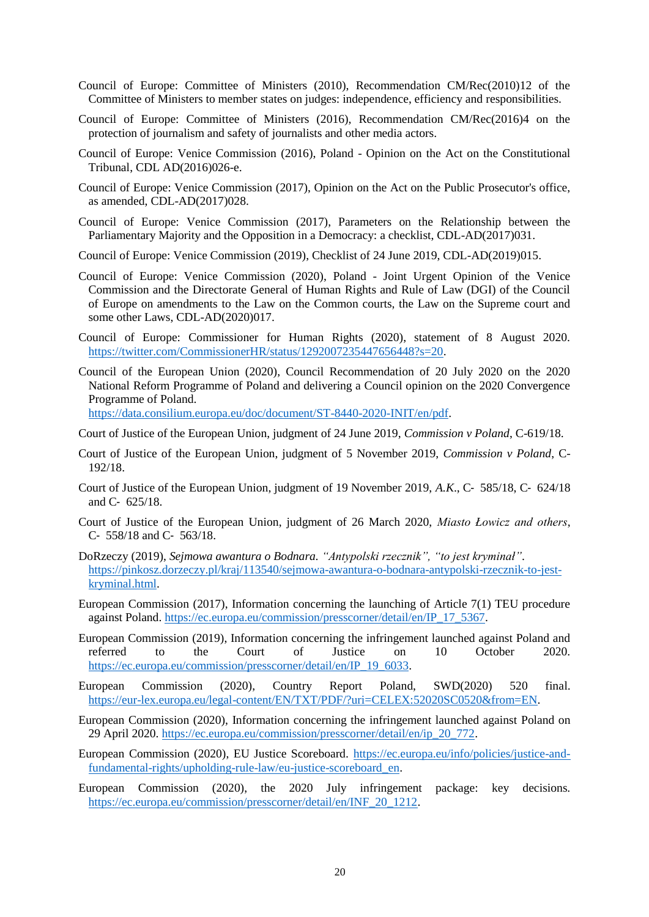- Council of Europe: Committee of Ministers (2010), Recommendation CM/Rec(2010)12 of the Committee of Ministers to member states on judges: independence, efficiency and responsibilities.
- Council of Europe: Committee of Ministers (2016), Recommendation CM/Rec(2016)4 on the protection of journalism and safety of journalists and other media actors.
- Council of Europe: Venice Commission (2016), Poland Opinion on the Act on the Constitutional Tribunal, CDL AD(2016)026-e.
- Council of Europe: Venice Commission (2017), Opinion on the Act on the Public Prosecutor's office, as amended, CDL-AD(2017)028.
- Council of Europe: Venice Commission (2017), Parameters on the Relationship between the Parliamentary Majority and the Opposition in a Democracy: a checklist, CDL-AD(2017)031.
- Council of Europe: Venice Commission (2019), Checklist of 24 June 2019, CDL-AD(2019)015.
- Council of Europe: Venice Commission (2020), Poland Joint Urgent Opinion of the Venice Commission and the Directorate General of Human Rights and Rule of Law (DGI) of the Council of Europe on amendments to the Law on the Common courts, the Law on the Supreme court and some other Laws, CDL-AD(2020)017.
- Council of Europe: Commissioner for Human Rights (2020), statement of 8 August 2020. [https://twitter.com/CommissionerHR/status/1292007235447656448?s=20.](https://twitter.com/CommissionerHR/status/1292007235447656448?s=20)
- Council of the European Union (2020), Council Recommendation of 20 July 2020 on the 2020 National Reform Programme of Poland and delivering a Council opinion on the 2020 Convergence Programme of Poland.

[https://data.consilium.europa.eu/doc/document/ST-8440-2020-INIT/en/pdf.](https://data.consilium.europa.eu/doc/document/ST-8440-2020-INIT/en/pdf)

- Court of Justice of the European Union, judgment of 24 June 2019, *Commission v Poland*, C-619/18.
- Court of Justice of the European Union, judgment of 5 November 2019, *Commission v Poland*, C-192/18.
- Court of Justice of the European Union, judgment of 19 November 2019, *A.K*., C‑ 585/18, C‑ 624/18 and C‑ 625/18.
- Court of Justice of the European Union, judgment of 26 March 2020, *Miasto Łowicz and others*, C‑ 558/18 and C‑ 563/18.
- DoRzeczy (2019), *Sejmowa awantura o Bodnara. "Antypolski rzecznik", "to jest kryminał"*. [https://pinkosz.dorzeczy.pl/kraj/113540/sejmowa-awantura-o-bodnara-antypolski-rzecznik-to-jest](https://pinkosz.dorzeczy.pl/kraj/113540/sejmowa-awantura-o-bodnara-antypolski-rzecznik-to-jest-kryminal.html)[kryminal.html.](https://pinkosz.dorzeczy.pl/kraj/113540/sejmowa-awantura-o-bodnara-antypolski-rzecznik-to-jest-kryminal.html)
- European Commission (2017), Information concerning the launching of Article 7(1) TEU procedure against Poland. [https://ec.europa.eu/commission/presscorner/detail/en/IP\\_17\\_5367.](https://ec.europa.eu/commission/presscorner/detail/en/IP_17_5367)
- European Commission (2019), Information concerning the infringement launched against Poland and referred to the Court of Justice on 10 October 2020. [https://ec.europa.eu/commission/presscorner/detail/en/IP\\_19\\_6033.](https://ec.europa.eu/commission/presscorner/detail/en/IP_19_6033)
- European Commission (2020), Country Report Poland, SWD(2020) 520 final. [https://eur-lex.europa.eu/legal-content/EN/TXT/PDF/?uri=CELEX:52020SC0520&from=EN.](https://eur-lex.europa.eu/legal-content/EN/TXT/PDF/?uri=CELEX:52020SC0520&from=EN)
- European Commission (2020), Information concerning the infringement launched against Poland on 29 April 2020. [https://ec.europa.eu/commission/presscorner/detail/en/ip\\_20\\_772.](https://ec.europa.eu/commission/presscorner/detail/en/ip_20_772)
- European Commission (2020), EU Justice Scoreboard. [https://ec.europa.eu/info/policies/justice-and](https://ec.europa.eu/info/policies/justice-and-fundamental-rights/upholding-rule-law/eu-justice-scoreboard_en)[fundamental-rights/upholding-rule-law/eu-justice-scoreboard\\_en.](https://ec.europa.eu/info/policies/justice-and-fundamental-rights/upholding-rule-law/eu-justice-scoreboard_en)
- European Commission (2020), the 2020 July infringement package: key decisions. [https://ec.europa.eu/commission/presscorner/detail/en/INF\\_20\\_1212.](https://ec.europa.eu/commission/presscorner/detail/en/INF_20_1212)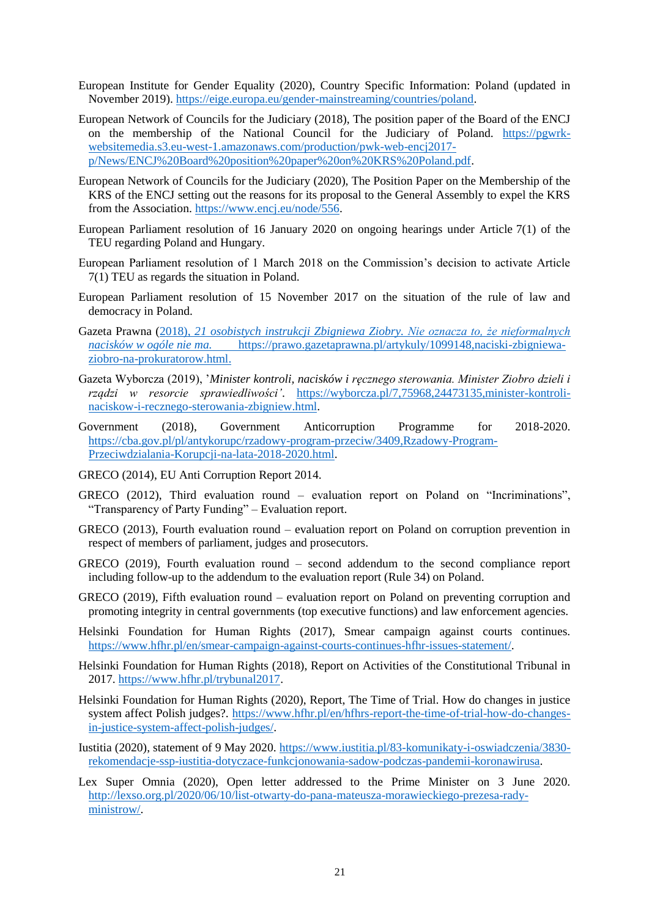- European Institute for Gender Equality (2020), Country Specific Information: Poland (updated in November 2019). [https://eige.europa.eu/gender-mainstreaming/countries/poland.](https://eige.europa.eu/gender-mainstreaming/countries/poland)
- European Network of Councils for the Judiciary (2018), The position paper of the Board of the ENCJ on the membership of the National Council for the Judiciary of Poland. [https://pgwrk](https://pgwrk-websitemedia.s3.eu-west-1.amazonaws.com/production/pwk-web-encj2017-p/News/ENCJ%20Board%20position%20paper%20on%20KRS%20Poland.pdf)[websitemedia.s3.eu-west-1.amazonaws.com/production/pwk-web-encj2017](https://pgwrk-websitemedia.s3.eu-west-1.amazonaws.com/production/pwk-web-encj2017-p/News/ENCJ%20Board%20position%20paper%20on%20KRS%20Poland.pdf) [p/News/ENCJ%20Board%20position%20paper%20on%20KRS%20Poland.pdf.](https://pgwrk-websitemedia.s3.eu-west-1.amazonaws.com/production/pwk-web-encj2017-p/News/ENCJ%20Board%20position%20paper%20on%20KRS%20Poland.pdf)
- European Network of Councils for the Judiciary (2020), The Position Paper on the Membership of the KRS of the ENCJ setting out the reasons for its proposal to the General Assembly to expel the KRS from the Association. [https://www.encj.eu/node/556.](https://www.encj.eu/node/556)
- European Parliament resolution of 16 January 2020 on ongoing hearings under Article 7(1) of the TEU regarding Poland and Hungary.
- European Parliament resolution of 1 March 2018 on the Commission's decision to activate Article 7(1) TEU as regards the situation in Poland.
- European Parliament resolution of 15 November 2017 on the situation of the rule of law and democracy in Poland.
- Gazeta Prawna (2018), *21 osobistych instrukcji Zbigniewa Ziobry. Nie oznacza to, że nieformalnych nacisków w ogóle nie ma.* [https://prawo.gazetaprawna.pl/artykuly/1099148,naciski-zbigniewa](https://prawo.gazetaprawna.pl/artykuly/1099148,naciski-zbigniewa-ziobro-na-prokuratorow.html)[ziobro-na-prokuratorow.html.](https://prawo.gazetaprawna.pl/artykuly/1099148,naciski-zbigniewa-ziobro-na-prokuratorow.html)
- Gazeta Wyborcza (2019), '*Minister kontroli, nacisków i ręcznego sterowania. Minister Ziobro dzieli i rządzi w resorcie sprawiedliwości'*. [https://wyborcza.pl/7,75968,24473135,minister-kontroli](https://wyborcza.pl/7,75968,24473135,minister-kontroli-naciskow-i-recznego-sterowania-zbigniew.html)[naciskow-i-recznego-sterowania-zbigniew.html.](https://wyborcza.pl/7,75968,24473135,minister-kontroli-naciskow-i-recznego-sterowania-zbigniew.html)
- Government (2018), Government Anticorruption Programme for 2018-2020. [https://cba.gov.pl/pl/antykorupc/rzadowy-program-przeciw/3409,Rzadowy-Program-](https://cba.gov.pl/pl/antykorupc/rzadowy-program-przeciw/3409,Rzadowy-Program-Przeciwdzialania-Korupcji-na-lata-2018-2020.html)[Przeciwdzialania-Korupcji-na-lata-2018-2020.html.](https://cba.gov.pl/pl/antykorupc/rzadowy-program-przeciw/3409,Rzadowy-Program-Przeciwdzialania-Korupcji-na-lata-2018-2020.html)
- GRECO (2014), EU Anti Corruption Report 2014.
- GRECO (2012), Third evaluation round evaluation report on Poland on "Incriminations", "Transparency of Party Funding" – Evaluation report.
- GRECO (2013), Fourth evaluation round evaluation report on Poland on corruption prevention in respect of members of parliament, judges and prosecutors.
- GRECO (2019), Fourth evaluation round second addendum to the second compliance report including follow-up to the addendum to the evaluation report (Rule 34) on Poland.
- GRECO (2019), Fifth evaluation round evaluation report on Poland on preventing corruption and promoting integrity in central governments (top executive functions) and law enforcement agencies.
- Helsinki Foundation for Human Rights (2017), Smear campaign against courts continues. [https://www.hfhr.pl/en/smear-campaign-against-courts-continues-hfhr-issues-statement/.](https://www.hfhr.pl/en/smear-campaign-against-courts-continues-hfhr-issues-statement/)
- Helsinki Foundation for Human Rights (2018), Report on Activities of the Constitutional Tribunal in 2017. [https://www.hfhr.pl/trybunal2017.](https://www.hfhr.pl/trybunal2017)
- Helsinki Foundation for Human Rights (2020), Report, The Time of Trial. How do changes in justice system affect Polish judges?. [https://www.hfhr.pl/en/hfhrs-report-the-time-of-trial-how-do-changes](https://www.hfhr.pl/en/hfhrs-report-the-time-of-trial-how-do-changes-in-justice-system-affect-polish-judges/)[in-justice-system-affect-polish-judges/.](https://www.hfhr.pl/en/hfhrs-report-the-time-of-trial-how-do-changes-in-justice-system-affect-polish-judges/)
- Iustitia (2020), statement of 9 May 2020. [https://www.iustitia.pl/83-komunikaty-i-oswiadczenia/3830](https://www.iustitia.pl/83-komunikaty-i-oswiadczenia/3830-rekomendacje-ssp-iustitia-dotyczace-funkcjonowania-sadow-podczas-pandemii-koronawirusa) [rekomendacje-ssp-iustitia-dotyczace-funkcjonowania-sadow-podczas-pandemii-koronawirusa.](https://www.iustitia.pl/83-komunikaty-i-oswiadczenia/3830-rekomendacje-ssp-iustitia-dotyczace-funkcjonowania-sadow-podczas-pandemii-koronawirusa)
- Lex Super Omnia (2020), Open letter addressed to the Prime Minister on 3 June 2020. [http://lexso.org.pl/2020/06/10/list-otwarty-do-pana-mateusza-morawieckiego-prezesa-rady](http://lexso.org.pl/2020/06/10/list-otwarty-do-pana-mateusza-morawieckiego-prezesa-rady-ministrow/)[ministrow/.](http://lexso.org.pl/2020/06/10/list-otwarty-do-pana-mateusza-morawieckiego-prezesa-rady-ministrow/)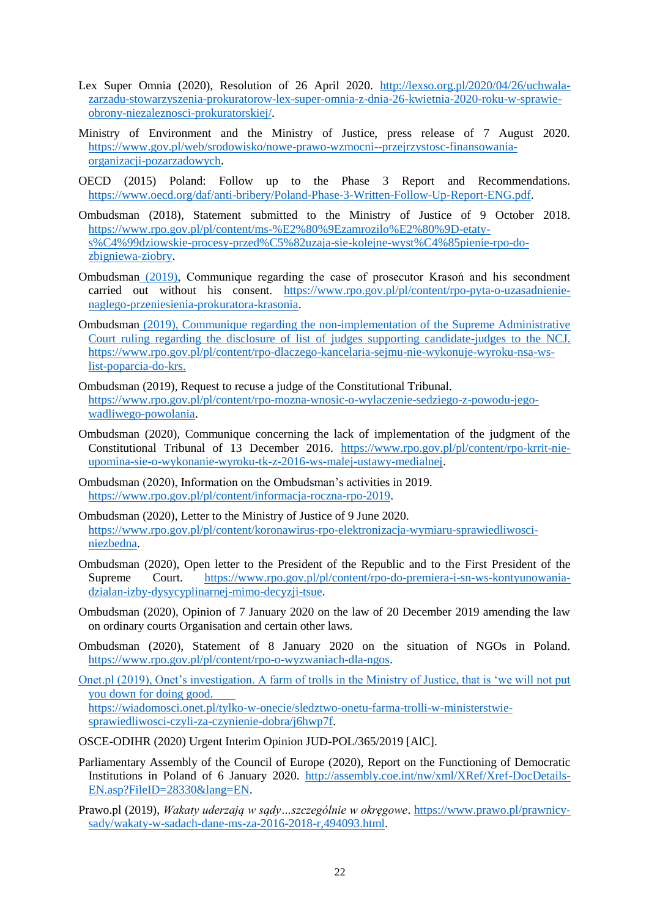- Lex Super Omnia (2020), Resolution of 26 April 2020. [http://lexso.org.pl/2020/04/26/uchwala](http://lexso.org.pl/2020/04/26/uchwala-zarzadu-stowarzyszenia-prokuratorow-lex-super-omnia-z-dnia-26-kwietnia-2020-roku-w-sprawie-obrony-niezaleznosci-prokuratorskiej/)[zarzadu-stowarzyszenia-prokuratorow-lex-super-omnia-z-dnia-26-kwietnia-2020-roku-w-sprawie](http://lexso.org.pl/2020/04/26/uchwala-zarzadu-stowarzyszenia-prokuratorow-lex-super-omnia-z-dnia-26-kwietnia-2020-roku-w-sprawie-obrony-niezaleznosci-prokuratorskiej/)[obrony-niezaleznosci-prokuratorskiej/.](http://lexso.org.pl/2020/04/26/uchwala-zarzadu-stowarzyszenia-prokuratorow-lex-super-omnia-z-dnia-26-kwietnia-2020-roku-w-sprawie-obrony-niezaleznosci-prokuratorskiej/)
- Ministry of Environment and the Ministry of Justice, press release of 7 August 2020. [https://www.gov.pl/web/srodowisko/nowe-prawo-wzmocni--przejrzystosc-finansowania](https://www.gov.pl/web/srodowisko/nowe-prawo-wzmocni--przejrzystosc-finansowania-organizacji-pozarzadowych)[organizacji-pozarzadowych.](https://www.gov.pl/web/srodowisko/nowe-prawo-wzmocni--przejrzystosc-finansowania-organizacji-pozarzadowych)
- OECD (2015) Poland: Follow up to the Phase 3 Report and Recommendations. [https://www.oecd.org/daf/anti-bribery/Poland-Phase-3-Written-Follow-Up-Report-ENG.pdf.](https://www.oecd.org/daf/anti-bribery/Poland-Phase-3-Written-Follow-Up-Report-ENG.pdf)
- Ombudsman (2018), Statement submitted to the Ministry of Justice of 9 October 2018. [https://www.rpo.gov.pl/pl/content/ms-%E2%80%9Ezamrozilo%E2%80%9D-etaty](https://www.rpo.gov.pl/pl/content/ms-%E2%80%9Ezamrozilo%E2%80%9D-etaty-s%C4%99dziowskie-procesy-przed%C5%82uzaja-sie-kolejne-wyst%C4%85pienie-rpo-do-zbigniewa-ziobry)[s%C4%99dziowskie-procesy-przed%C5%82uzaja-sie-kolejne-wyst%C4%85pienie-rpo-do](https://www.rpo.gov.pl/pl/content/ms-%E2%80%9Ezamrozilo%E2%80%9D-etaty-s%C4%99dziowskie-procesy-przed%C5%82uzaja-sie-kolejne-wyst%C4%85pienie-rpo-do-zbigniewa-ziobry)[zbigniewa-ziobry.](https://www.rpo.gov.pl/pl/content/ms-%E2%80%9Ezamrozilo%E2%80%9D-etaty-s%C4%99dziowskie-procesy-przed%C5%82uzaja-sie-kolejne-wyst%C4%85pienie-rpo-do-zbigniewa-ziobry)
- Ombudsman (2019), Communique regarding the case of prosecutor Krasoń and his secondment carried out without his consent. [https://www.rpo.gov.pl/pl/content/rpo-pyta-o-uzasadnienie](https://www.rpo.gov.pl/pl/content/rpo-pyta-o-uzasadnienie-naglego-przeniesienia-prokuratora-krasonia)[naglego-przeniesienia-prokuratora-krasonia.](https://www.rpo.gov.pl/pl/content/rpo-pyta-o-uzasadnienie-naglego-przeniesienia-prokuratora-krasonia)
- Ombudsman (2019), Communique regarding the non-implementation of the Supreme Administrative Court ruling regarding the disclosure of list of judges supporting candidate-judges to the NCJ. [https://www.rpo.gov.pl/pl/content/rpo-dlaczego-kancelaria-sejmu-nie-wykonuje-wyroku-nsa-ws](https://www.rpo.gov.pl/pl/content/rpo-dlaczego-kancelaria-sejmu-nie-wykonuje-wyroku-nsa-ws-list-poparcia-do-krs)[list-poparcia-do-krs.](https://www.rpo.gov.pl/pl/content/rpo-dlaczego-kancelaria-sejmu-nie-wykonuje-wyroku-nsa-ws-list-poparcia-do-krs)
- Ombudsman (2019), Request to recuse a judge of the Constitutional Tribunal. [https://www.rpo.gov.pl/pl/content/rpo-mozna-wnosic-o-wylaczenie-sedziego-z-powodu-jego](https://www.rpo.gov.pl/pl/content/rpo-mozna-wnosic-o-wylaczenie-sedziego-z-powodu-jego-wadliwego-powolania)[wadliwego-powolania.](https://www.rpo.gov.pl/pl/content/rpo-mozna-wnosic-o-wylaczenie-sedziego-z-powodu-jego-wadliwego-powolania)
- Ombudsman (2020), Communique concerning the lack of implementation of the judgment of the Constitutional Tribunal of 13 December 2016. [https://www.rpo.gov.pl/pl/content/rpo-krrit-nie](https://www.rpo.gov.pl/pl/content/rpo-krrit-nie-upomina-sie-o-wykonanie-wyroku-tk-z-2016-ws-malej-ustawy-medialnej)[upomina-sie-o-wykonanie-wyroku-tk-z-2016-ws-malej-ustawy-medialnej.](https://www.rpo.gov.pl/pl/content/rpo-krrit-nie-upomina-sie-o-wykonanie-wyroku-tk-z-2016-ws-malej-ustawy-medialnej)
- Ombudsman (2020), Information on the Ombudsman's activities in 2019. [https://www.rpo.gov.pl/pl/content/informacja-roczna-rpo-2019.](https://www.rpo.gov.pl/pl/content/informacja-roczna-rpo-2019)
- Ombudsman (2020), Letter to the Ministry of Justice of 9 June 2020. [https://www.rpo.gov.pl/pl/content/koronawirus-rpo-elektronizacja-wymiaru-sprawiedliwosci](https://www.rpo.gov.pl/pl/content/koronawirus-rpo-elektronizacja-wymiaru-sprawiedliwosci-niezbedna)[niezbedna.](https://www.rpo.gov.pl/pl/content/koronawirus-rpo-elektronizacja-wymiaru-sprawiedliwosci-niezbedna)
- Ombudsman (2020), Open letter to the President of the Republic and to the First President of the Supreme Court. [https://www.rpo.gov.pl/pl/content/rpo-do-premiera-i-sn-ws-kontyunowania](https://www.rpo.gov.pl/pl/content/rpo-do-premiera-i-sn-ws-kontyunowania-dzialan-izby-dysycyplinarnej-mimo-decyzji-tsue)[dzialan-izby-dysycyplinarnej-mimo-decyzji-tsue.](https://www.rpo.gov.pl/pl/content/rpo-do-premiera-i-sn-ws-kontyunowania-dzialan-izby-dysycyplinarnej-mimo-decyzji-tsue)
- Ombudsman (2020), Opinion of 7 January 2020 on the law of 20 December 2019 amending the law on ordinary courts Organisation and certain other laws.
- Ombudsman (2020), Statement of 8 January 2020 on the situation of NGOs in Poland. [https://www.rpo.gov.pl/pl/content/rpo-o-wyzwaniach-dla-ngos.](https://www.rpo.gov.pl/pl/content/rpo-o-wyzwaniach-dla-ngos)
- Onet.pl (2019), Onet's investigation. A farm of trolls in the Ministry of Justice, that is 'we will not put you down for doing good. [https://wiadomosci.onet.pl/tylko-w-onecie/sledztwo-onetu-farma-trolli-w-ministerstwie](https://wiadomosci.onet.pl/tylko-w-onecie/sledztwo-onetu-farma-trolli-w-ministerstwie-sprawiedliwosci-czyli-za-czynienie-dobra/j6hwp7f)[sprawiedliwosci-czyli-za-czynienie-dobra/j6hwp7f.](https://wiadomosci.onet.pl/tylko-w-onecie/sledztwo-onetu-farma-trolli-w-ministerstwie-sprawiedliwosci-czyli-za-czynienie-dobra/j6hwp7f)

OSCE-ODIHR (2020) Urgent Interim Opinion JUD-POL/365/2019 [AlC].

- Parliamentary Assembly of the Council of Europe (2020), Report on the Functioning of Democratic Institutions in Poland of 6 January 2020. [http://assembly.coe.int/nw/xml/XRef/Xref-DocDetails-](http://assembly.coe.int/nw/xml/XRef/Xref-DocDetails-EN.asp?FileID=28330&lang=EN)[EN.asp?FileID=28330&lang=EN.](http://assembly.coe.int/nw/xml/XRef/Xref-DocDetails-EN.asp?FileID=28330&lang=EN)
- Prawo.pl (2019), *Wakaty uderzają w sądy…szczególnie w okręgowe*. [https://www.prawo.pl/prawnicy](https://www.prawo.pl/prawnicy-sady/wakaty-w-sadach-dane-ms-za-2016-2018-r,494093.html)[sady/wakaty-w-sadach-dane-ms-za-2016-2018-r,494093.html.](https://www.prawo.pl/prawnicy-sady/wakaty-w-sadach-dane-ms-za-2016-2018-r,494093.html)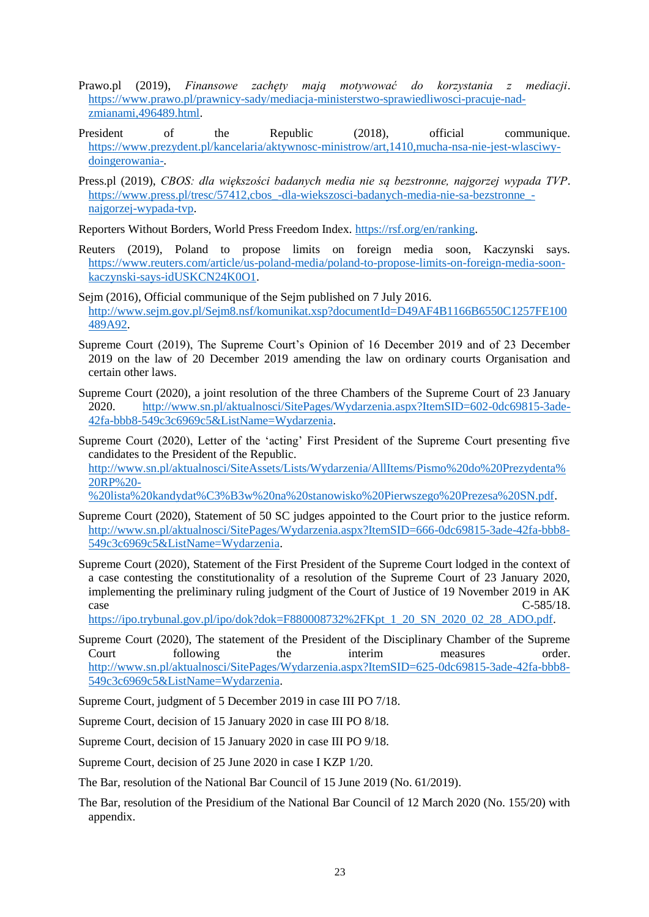- Prawo.pl (2019), *Finansowe zachęty mają motywować do korzystania z mediacji*. [https://www.prawo.pl/prawnicy-sady/mediacja-ministerstwo-sprawiedliwosci-pracuje-nad](https://www.prawo.pl/prawnicy-sady/mediacja-ministerstwo-sprawiedliwosci-pracuje-nad-zmianami,496489.html)[zmianami,496489.html.](https://www.prawo.pl/prawnicy-sady/mediacja-ministerstwo-sprawiedliwosci-pracuje-nad-zmianami,496489.html)
- President of the Republic (2018), official communique. [https://www.prezydent.pl/kancelaria/aktywnosc-ministrow/art,1410,mucha-nsa-nie-jest-wlasciwy](https://www.prezydent.pl/kancelaria/aktywnosc-ministrow/art,1410,mucha-nsa-nie-jest-wlasciwy-doingerowania-)[doingerowania-.](https://www.prezydent.pl/kancelaria/aktywnosc-ministrow/art,1410,mucha-nsa-nie-jest-wlasciwy-doingerowania-)
- Press.pl (2019), *CBOS: dla większości badanych media nie są bezstronne, najgorzej wypada TVP*. [https://www.press.pl/tresc/57412,cbos\\_-dla-wiekszosci-badanych-media-nie-sa-bezstronne\\_](https://www.press.pl/tresc/57412,cbos_-dla-wiekszosci-badanych-media-nie-sa-bezstronne_-najgorzej-wypada-tvp) [najgorzej-wypada-tvp.](https://www.press.pl/tresc/57412,cbos_-dla-wiekszosci-badanych-media-nie-sa-bezstronne_-najgorzej-wypada-tvp)

Reporters Without Borders, World Press Freedom Index. [https://rsf.org/en/ranking.](https://rsf.org/en/ranking)

- Reuters (2019), Poland to propose limits on foreign media soon, Kaczynski says. [https://www.reuters.com/article/us-poland-media/poland-to-propose-limits-on-foreign-media-soon](https://www.reuters.com/article/us-poland-media/poland-to-propose-limits-on-foreign-media-soon-kaczynski-says-idUSKCN24K0O1)[kaczynski-says-idUSKCN24K0O1.](https://www.reuters.com/article/us-poland-media/poland-to-propose-limits-on-foreign-media-soon-kaczynski-says-idUSKCN24K0O1)
- Sejm (2016), Official communique of the Sejm published on 7 July 2016. [http://www.sejm.gov.pl/Sejm8.nsf/komunikat.xsp?documentId=D49AF4B1166B6550C1257FE100](http://www.sejm.gov.pl/Sejm8.nsf/komunikat.xsp?documentId=D49AF4B1166B6550C1257FE100489A92) [489A92.](http://www.sejm.gov.pl/Sejm8.nsf/komunikat.xsp?documentId=D49AF4B1166B6550C1257FE100489A92)
- Supreme Court (2019), The Supreme Court's Opinion of 16 December 2019 and of 23 December 2019 on the law of 20 December 2019 amending the law on ordinary courts Organisation and certain other laws.
- Supreme Court (2020), a joint resolution of the three Chambers of the Supreme Court of 23 January 2020. [http://www.sn.pl/aktualnosci/SitePages/Wydarzenia.aspx?ItemSID=602-0dc69815-3ade-](http://www.sn.pl/aktualnosci/SitePages/Wydarzenia.aspx?ItemSID=602-0dc69815-3ade-42fa-bbb8-549c3c6969c5&ListName=Wydarzenia)[42fa-bbb8-549c3c6969c5&ListName=Wydarzenia.](http://www.sn.pl/aktualnosci/SitePages/Wydarzenia.aspx?ItemSID=602-0dc69815-3ade-42fa-bbb8-549c3c6969c5&ListName=Wydarzenia)
- Supreme Court (2020), Letter of the 'acting' First President of the Supreme Court presenting five candidates to the President of the Republic. [http://www.sn.pl/aktualnosci/SiteAssets/Lists/Wydarzenia/AllItems/Pismo%20do%20Prezydenta%](http://www.sn.pl/aktualnosci/SiteAssets/Lists/Wydarzenia/AllItems/Pismo%20do%20Prezydenta%20RP%20-%20lista%20kandydat%C3%B3w%20na%20stanowisko%20Pierwszego%20Prezesa%20SN.pdf) [20RP%20-](http://www.sn.pl/aktualnosci/SiteAssets/Lists/Wydarzenia/AllItems/Pismo%20do%20Prezydenta%20RP%20-%20lista%20kandydat%C3%B3w%20na%20stanowisko%20Pierwszego%20Prezesa%20SN.pdf) [%20lista%20kandydat%C3%B3w%20na%20stanowisko%20Pierwszego%20Prezesa%20SN.pdf.](http://www.sn.pl/aktualnosci/SiteAssets/Lists/Wydarzenia/AllItems/Pismo%20do%20Prezydenta%20RP%20-%20lista%20kandydat%C3%B3w%20na%20stanowisko%20Pierwszego%20Prezesa%20SN.pdf)
- Supreme Court (2020), Statement of 50 SC judges appointed to the Court prior to the justice reform. [http://www.sn.pl/aktualnosci/SitePages/Wydarzenia.aspx?ItemSID=666-0dc69815-3ade-42fa-bbb8-](http://www.sn.pl/aktualnosci/SitePages/Wydarzenia.aspx?ItemSID=666-0dc69815-3ade-42fa-bbb8-549c3c6969c5&ListName=Wydarzenia) [549c3c6969c5&ListName=Wydarzenia.](http://www.sn.pl/aktualnosci/SitePages/Wydarzenia.aspx?ItemSID=666-0dc69815-3ade-42fa-bbb8-549c3c6969c5&ListName=Wydarzenia)
- Supreme Court (2020), Statement of the First President of the Supreme Court lodged in the context of a case contesting the constitutionality of a resolution of the Supreme Court of 23 January 2020, implementing the preliminary ruling judgment of the Court of Justice of 19 November 2019 in AK  $\text{Case}$  C-585/18.

[https://ipo.trybunal.gov.pl/ipo/dok?dok=F880008732%2FKpt\\_1\\_20\\_SN\\_2020\\_02\\_28\\_ADO.pdf.](https://ipo.trybunal.gov.pl/ipo/dok?dok=F880008732%2FKpt_1_20_SN_2020_02_28_ADO.pdf)

- Supreme Court (2020), The statement of the President of the Disciplinary Chamber of the Supreme Court following the interim measures order. [http://www.sn.pl/aktualnosci/SitePages/Wydarzenia.aspx?ItemSID=625-0dc69815-3ade-42fa-bbb8-](http://www.sn.pl/aktualnosci/SitePages/Wydarzenia.aspx?ItemSID=625-0dc69815-3ade-42fa-bbb8-549c3c6969c5&ListName=Wydarzenia) [549c3c6969c5&ListName=Wydarzenia.](http://www.sn.pl/aktualnosci/SitePages/Wydarzenia.aspx?ItemSID=625-0dc69815-3ade-42fa-bbb8-549c3c6969c5&ListName=Wydarzenia)
- Supreme Court, judgment of 5 December 2019 in case III PO 7/18.
- Supreme Court, decision of 15 January 2020 in case III PO 8/18.
- Supreme Court, decision of 15 January 2020 in case III PO 9/18.

Supreme Court, decision of 25 June 2020 in case I KZP 1/20.

- The Bar, resolution of the National Bar Council of 15 June 2019 (No. 61/2019).
- The Bar, resolution of the Presidium of the National Bar Council of 12 March 2020 (No. 155/20) with appendix.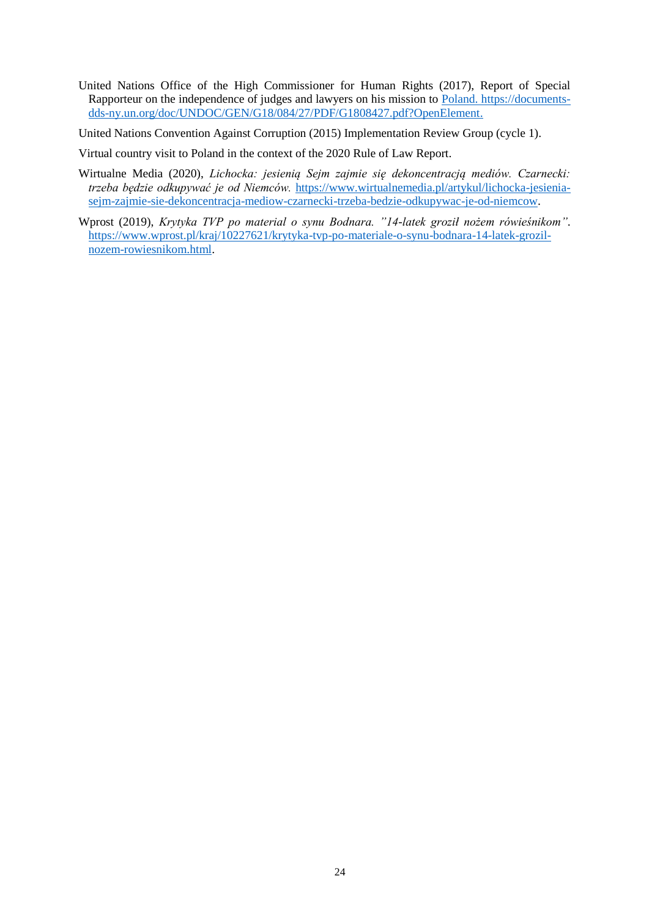United Nations Office of the High Commissioner for Human Rights (2017), Report of Special Rapporteur on the independence of judges and lawyers on his mission to Poland. [https://documents](https://documents-dds-ny.un.org/doc/UNDOC/GEN/G18/084/27/PDF/G1808427.pdf?OpenElement)[dds-ny.un.org/doc/UNDOC/GEN/G18/084/27/PDF/G1808427.pdf?OpenElement.](https://documents-dds-ny.un.org/doc/UNDOC/GEN/G18/084/27/PDF/G1808427.pdf?OpenElement)

United Nations Convention Against Corruption (2015) Implementation Review Group (cycle 1).

Virtual country visit to Poland in the context of the 2020 Rule of Law Report.

- Wirtualne Media (2020), *Lichocka: jesienią Sejm zajmie się dekoncentracją mediów. Czarnecki: trzeba będzie odkupywać je od Niemców.* [https://www.wirtualnemedia.pl/artykul/lichocka-jesienia](https://www.wirtualnemedia.pl/artykul/lichocka-jesienia-sejm-zajmie-sie-dekoncentracja-mediow-czarnecki-trzeba-bedzie-odkupywac-je-od-niemcow)[sejm-zajmie-sie-dekoncentracja-mediow-czarnecki-trzeba-bedzie-odkupywac-je-od-niemcow.](https://www.wirtualnemedia.pl/artykul/lichocka-jesienia-sejm-zajmie-sie-dekoncentracja-mediow-czarnecki-trzeba-bedzie-odkupywac-je-od-niemcow)
- Wprost (2019), *Krytyka TVP po material o synu Bodnara. "14-latek groził nożem rówieśnikom"*. [https://www.wprost.pl/kraj/10227621/krytyka-tvp-po-materiale-o-synu-bodnara-14-latek-grozil](https://www.wprost.pl/kraj/10227621/krytyka-tvp-po-materiale-o-synu-bodnara-14-latek-grozil-nozem-rowiesnikom.html)[nozem-rowiesnikom.html.](https://www.wprost.pl/kraj/10227621/krytyka-tvp-po-materiale-o-synu-bodnara-14-latek-grozil-nozem-rowiesnikom.html)